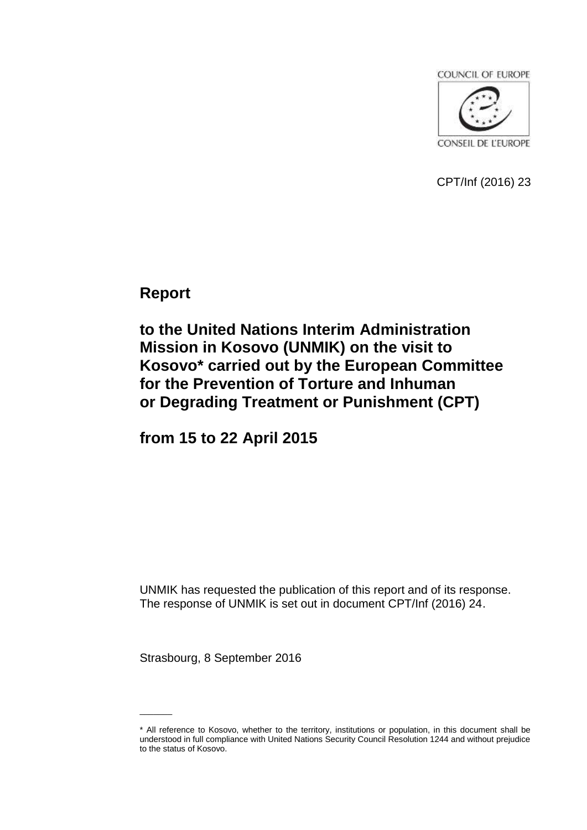

CPT/Inf (2016) 23

**Report**

**to the United Nations Interim Administration Mission in Kosovo (UNMIK) on the visit to Kosovo\* carried out by the European Committee for the Prevention of Torture and Inhuman or Degrading Treatment or Punishment (CPT)**

**from 15 to 22 April 2015**

UNMIK has requested the publication of this report and of its response. The response of UNMIK is set out in document CPT/Inf (2016) 24.

Strasbourg, 8 September 2016

 $\mathcal{L}=\mathcal{L}$ 

<sup>\*</sup> All reference to Kosovo, whether to the territory, institutions or population, in this document shall be understood in full compliance with United Nations Security Council Resolution 1244 and without prejudice to the status of Kosovo.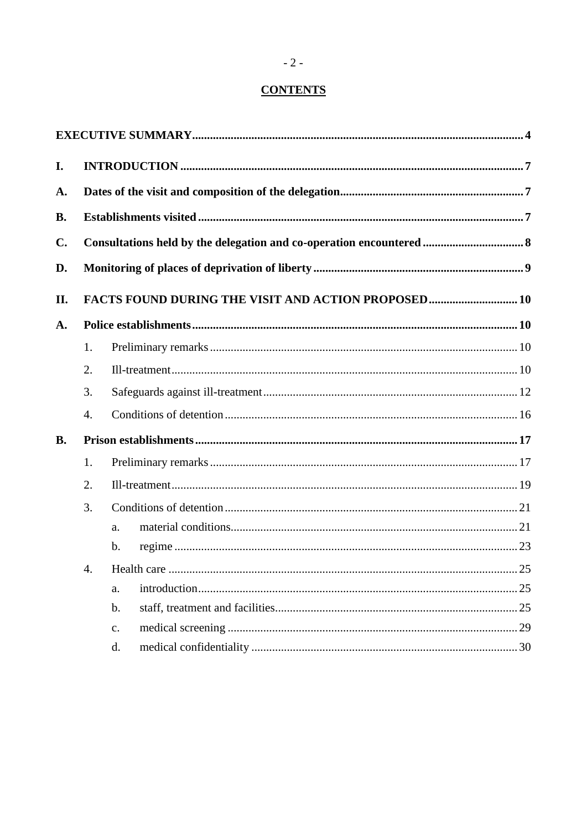# **CONTENTS**

| I.             |                                                            |                |    |  |  |  |
|----------------|------------------------------------------------------------|----------------|----|--|--|--|
| A.             |                                                            |                |    |  |  |  |
| <b>B.</b>      |                                                            |                |    |  |  |  |
| $\mathbf{C}$ . |                                                            |                |    |  |  |  |
| D.             |                                                            |                |    |  |  |  |
| II.            | <b>FACTS FOUND DURING THE VISIT AND ACTION PROPOSED 10</b> |                |    |  |  |  |
| A.             |                                                            |                |    |  |  |  |
|                | 1.                                                         |                |    |  |  |  |
|                | 2.                                                         |                |    |  |  |  |
|                | 3.                                                         |                |    |  |  |  |
|                | 4.                                                         |                |    |  |  |  |
| <b>B.</b>      |                                                            |                |    |  |  |  |
|                | 1.                                                         |                |    |  |  |  |
|                | 2.                                                         |                |    |  |  |  |
|                | 3.                                                         |                |    |  |  |  |
|                |                                                            | a.             |    |  |  |  |
|                |                                                            | $\mathbf{b}$ . |    |  |  |  |
|                | 4.                                                         | Health care    | 25 |  |  |  |
|                |                                                            | a.             |    |  |  |  |
|                |                                                            | $b$ .          |    |  |  |  |
|                |                                                            | $\mathbf{c}$ . |    |  |  |  |
|                |                                                            | d.             |    |  |  |  |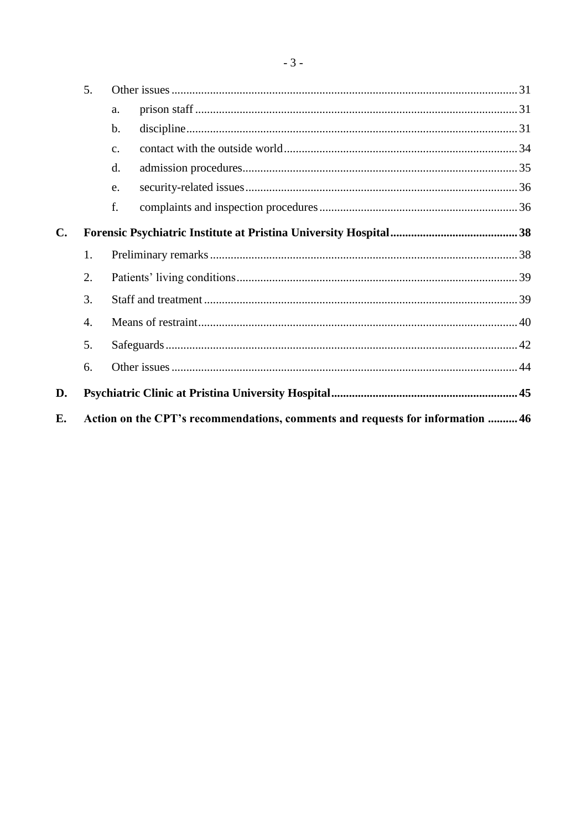|    | 5.                                                                             |                |  |  |  |  |
|----|--------------------------------------------------------------------------------|----------------|--|--|--|--|
|    |                                                                                | a.             |  |  |  |  |
|    |                                                                                | b.             |  |  |  |  |
|    |                                                                                | C <sub>1</sub> |  |  |  |  |
|    |                                                                                | d.             |  |  |  |  |
|    |                                                                                | e.             |  |  |  |  |
|    |                                                                                | f.             |  |  |  |  |
| C. |                                                                                |                |  |  |  |  |
|    | 1.                                                                             |                |  |  |  |  |
|    | 2.                                                                             |                |  |  |  |  |
|    | 3.                                                                             |                |  |  |  |  |
|    | 4.                                                                             |                |  |  |  |  |
|    | 5.                                                                             |                |  |  |  |  |
|    | 6.                                                                             |                |  |  |  |  |
| D. |                                                                                |                |  |  |  |  |
| E. | Action on the CPT's recommendations, comments and requests for information  46 |                |  |  |  |  |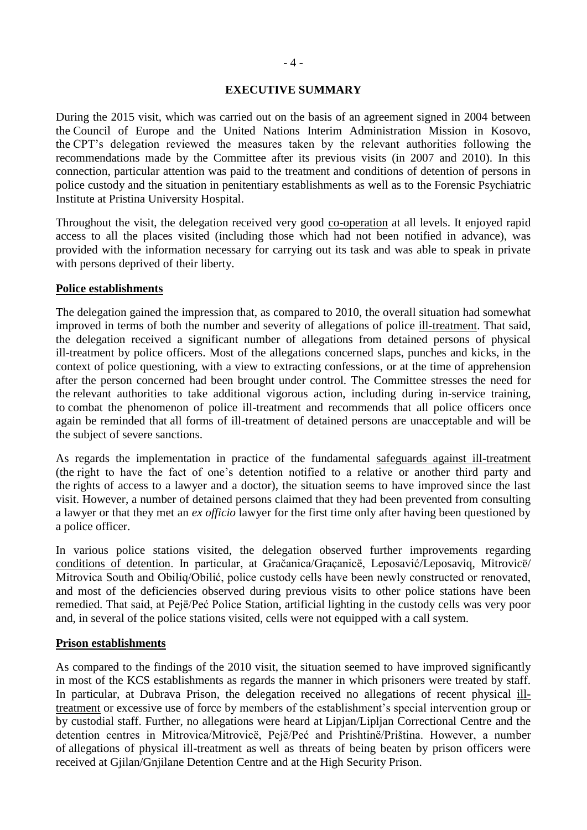#### **EXECUTIVE SUMMARY**

<span id="page-3-0"></span>During the 2015 visit, which was carried out on the basis of an agreement signed in 2004 between the Council of Europe and the United Nations Interim Administration Mission in Kosovo, the CPT's delegation reviewed the measures taken by the relevant authorities following the recommendations made by the Committee after its previous visits (in 2007 and 2010). In this connection, particular attention was paid to the treatment and conditions of detention of persons in police custody and the situation in penitentiary establishments as well as to the Forensic Psychiatric Institute at Pristina University Hospital.

Throughout the visit, the delegation received very good co-operation at all levels. It enjoyed rapid access to all the places visited (including those which had not been notified in advance), was provided with the information necessary for carrying out its task and was able to speak in private with persons deprived of their liberty.

#### **Police establishments**

The delegation gained the impression that, as compared to 2010, the overall situation had somewhat improved in terms of both the number and severity of allegations of police ill-treatment. That said, the delegation received a significant number of allegations from detained persons of physical ill-treatment by police officers. Most of the allegations concerned slaps, punches and kicks, in the context of police questioning, with a view to extracting confessions, or at the time of apprehension after the person concerned had been brought under control. The Committee stresses the need for the relevant authorities to take additional vigorous action, including during in-service training, to combat the phenomenon of police ill-treatment and recommends that all police officers once again be reminded that all forms of ill-treatment of detained persons are unacceptable and will be the subject of severe sanctions.

As regards the implementation in practice of the fundamental safeguards against ill-treatment (the right to have the fact of one's detention notified to a relative or another third party and the rights of access to a lawyer and a doctor), the situation seems to have improved since the last visit. However, a number of detained persons claimed that they had been prevented from consulting a lawyer or that they met an *ex officio* lawyer for the first time only after having been questioned by a police officer.

In various police stations visited, the delegation observed further improvements regarding conditions of detention. In particular, at Gračanica/Graçanicë, Leposavić/Leposaviq, Mitrovicë/ Mitrovica South and Obiliq/Obilić, police custody cells have been newly constructed or renovated, and most of the deficiencies observed during previous visits to other police stations have been remedied. That said, at Pejë/Peć Police Station, artificial lighting in the custody cells was very poor and, in several of the police stations visited, cells were not equipped with a call system.

#### **Prison establishments**

As compared to the findings of the 2010 visit, the situation seemed to have improved significantly in most of the KCS establishments as regards the manner in which prisoners were treated by staff. In particular, at Dubrava Prison, the delegation received no allegations of recent physical illtreatment or excessive use of force by members of the establishment's special intervention group or by custodial staff. Further, no allegations were heard at Lipjan/Lipljan Correctional Centre and the detention centres in Mitrovica/Mitrovicë, Pejë/Peć and Prishtinë/Priština. However, a number of allegations of physical ill-treatment as well as threats of being beaten by prison officers were received at Gjilan/Gnjilane Detention Centre and at the High Security Prison.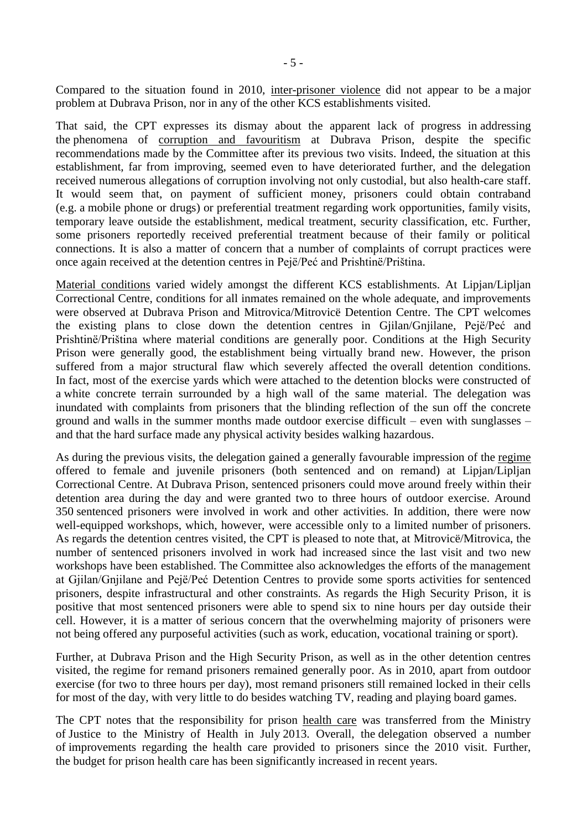Compared to the situation found in 2010, inter-prisoner violence did not appear to be a major problem at Dubrava Prison, nor in any of the other KCS establishments visited.

That said, the CPT expresses its dismay about the apparent lack of progress in addressing the phenomena of corruption and favouritism at Dubrava Prison, despite the specific recommendations made by the Committee after its previous two visits. Indeed, the situation at this establishment, far from improving, seemed even to have deteriorated further, and the delegation received numerous allegations of corruption involving not only custodial, but also health-care staff. It would seem that, on payment of sufficient money, prisoners could obtain contraband (e.g. a mobile phone or drugs) or preferential treatment regarding work opportunities, family visits, temporary leave outside the establishment, medical treatment, security classification, etc. Further, some prisoners reportedly received preferential treatment because of their family or political connections. It is also a matter of concern that a number of complaints of corrupt practices were once again received at the detention centres in Pejë/Peć and Prishtinë/Priština.

Material conditions varied widely amongst the different KCS establishments. At Lipjan/Lipljan Correctional Centre, conditions for all inmates remained on the whole adequate, and improvements were observed at Dubrava Prison and Mitrovica/Mitrovicë Detention Centre. The CPT welcomes the existing plans to close down the detention centres in Gjilan/Gnjilane, Pejë/Peć and Prishtinë/Priština where material conditions are generally poor. Conditions at the High Security Prison were generally good, the establishment being virtually brand new. However, the prison suffered from a major structural flaw which severely affected the overall detention conditions. In fact, most of the exercise yards which were attached to the detention blocks were constructed of a white concrete terrain surrounded by a high wall of the same material. The delegation was inundated with complaints from prisoners that the blinding reflection of the sun off the concrete ground and walls in the summer months made outdoor exercise difficult – even with sunglasses – and that the hard surface made any physical activity besides walking hazardous.

As during the previous visits, the delegation gained a generally favourable impression of the regime offered to female and juvenile prisoners (both sentenced and on remand) at Lipjan/Lipljan Correctional Centre. At Dubrava Prison, sentenced prisoners could move around freely within their detention area during the day and were granted two to three hours of outdoor exercise. Around 350 sentenced prisoners were involved in work and other activities. In addition, there were now well-equipped workshops, which, however, were accessible only to a limited number of prisoners. As regards the detention centres visited, the CPT is pleased to note that, at Mitrovicë/Mitrovica, the number of sentenced prisoners involved in work had increased since the last visit and two new workshops have been established. The Committee also acknowledges the efforts of the management at Gjilan/Gnjilane and Pejë/Peć Detention Centres to provide some sports activities for sentenced prisoners, despite infrastructural and other constraints. As regards the High Security Prison, it is positive that most sentenced prisoners were able to spend six to nine hours per day outside their cell. However, it is a matter of serious concern that the overwhelming majority of prisoners were not being offered any purposeful activities (such as work, education, vocational training or sport).

Further, at Dubrava Prison and the High Security Prison, as well as in the other detention centres visited, the regime for remand prisoners remained generally poor. As in 2010, apart from outdoor exercise (for two to three hours per day), most remand prisoners still remained locked in their cells for most of the day, with very little to do besides watching TV, reading and playing board games.

The CPT notes that the responsibility for prison health care was transferred from the Ministry of Justice to the Ministry of Health in July 2013. Overall, the delegation observed a number of improvements regarding the health care provided to prisoners since the 2010 visit. Further, the budget for prison health care has been significantly increased in recent years.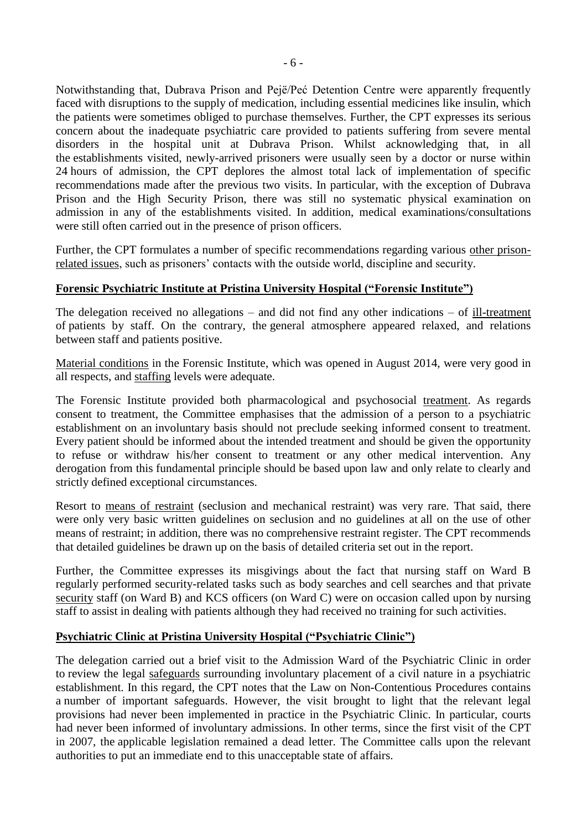Notwithstanding that, Dubrava Prison and Pejë/Peć Detention Centre were apparently frequently faced with disruptions to the supply of medication, including essential medicines like insulin, which the patients were sometimes obliged to purchase themselves. Further, the CPT expresses its serious concern about the inadequate psychiatric care provided to patients suffering from severe mental disorders in the hospital unit at Dubrava Prison. Whilst acknowledging that, in all the establishments visited, newly-arrived prisoners were usually seen by a doctor or nurse within 24 hours of admission, the CPT deplores the almost total lack of implementation of specific recommendations made after the previous two visits. In particular, with the exception of Dubrava Prison and the High Security Prison, there was still no systematic physical examination on admission in any of the establishments visited. In addition, medical examinations/consultations were still often carried out in the presence of prison officers.

Further, the CPT formulates a number of specific recommendations regarding various other prisonrelated issues, such as prisoners' contacts with the outside world, discipline and security.

# **Forensic Psychiatric Institute at Pristina University Hospital ("Forensic Institute")**

The delegation received no allegations – and did not find any other indications – of ill-treatment of patients by staff. On the contrary, the general atmosphere appeared relaxed, and relations between staff and patients positive.

Material conditions in the Forensic Institute, which was opened in August 2014, were very good in all respects, and staffing levels were adequate.

The Forensic Institute provided both pharmacological and psychosocial treatment. As regards consent to treatment, the Committee emphasises that the admission of a person to a psychiatric establishment on an involuntary basis should not preclude seeking informed consent to treatment. Every patient should be informed about the intended treatment and should be given the opportunity to refuse or withdraw his/her consent to treatment or any other medical intervention. Any derogation from this fundamental principle should be based upon law and only relate to clearly and strictly defined exceptional circumstances.

Resort to means of restraint (seclusion and mechanical restraint) was very rare. That said, there were only very basic written guidelines on seclusion and no guidelines at all on the use of other means of restraint; in addition, there was no comprehensive restraint register. The CPT recommends that detailed guidelines be drawn up on the basis of detailed criteria set out in the report.

Further, the Committee expresses its misgivings about the fact that nursing staff on Ward B regularly performed security-related tasks such as body searches and cell searches and that private security staff (on Ward B) and KCS officers (on Ward C) were on occasion called upon by nursing staff to assist in dealing with patients although they had received no training for such activities.

#### **Psychiatric Clinic at Pristina University Hospital ("Psychiatric Clinic")**

The delegation carried out a brief visit to the Admission Ward of the Psychiatric Clinic in order to review the legal safeguards surrounding involuntary placement of a civil nature in a psychiatric establishment. In this regard, the CPT notes that the Law on Non-Contentious Procedures contains a number of important safeguards. However, the visit brought to light that the relevant legal provisions had never been implemented in practice in the Psychiatric Clinic. In particular, courts had never been informed of involuntary admissions. In other terms, since the first visit of the CPT in 2007, the applicable legislation remained a dead letter. The Committee calls upon the relevant authorities to put an immediate end to this unacceptable state of affairs.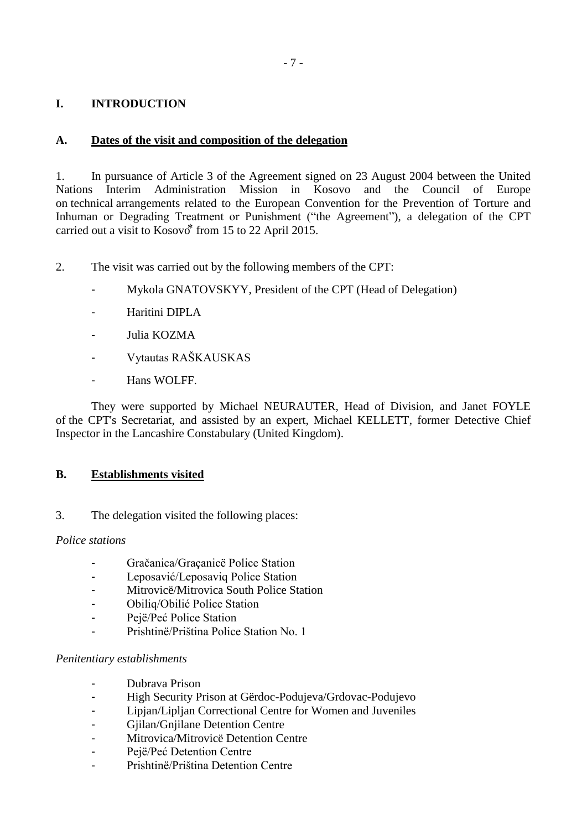# - 7 -

# <span id="page-6-0"></span>**I. INTRODUCTION**

### <span id="page-6-1"></span>**A. Dates of the visit and composition of the delegation**

1. In pursuance of Article 3 of the Agreement signed on 23 August 2004 between the United Nations Interim Administration Mission in Kosovo and the Council of Europe on technical arrangements related to the European Convention for the Prevention of Torture and Inhuman or Degrading Treatment or Punishment ("the Agreement"), a delegation of the CPT carried out a visit to  $Kosov \delta^*$  from 15 to 22 April 2015.

2. The visit was carried out by the following members of the CPT:

- Mykola GNATOVSKYY, President of the CPT (Head of Delegation)
- Haritini DIPLA
- Julia KOZMA
- Vytautas RAŠKAUSKAS
- Hans WOLFF.

They were supported by Michael NEURAUTER, Head of Division, and Janet FOYLE of the CPT's Secretariat, and assisted by an expert, Michael KELLETT, former Detective Chief Inspector in the Lancashire Constabulary (United Kingdom).

# <span id="page-6-2"></span>**B. Establishments visited**

#### 3. The delegation visited the following places:

#### *Police stations*

- Gračanica/Graçanicë Police Station
- Leposavić/Leposaviq Police Station
- Mitrovicë/Mitrovica South Police Station
- Obiliq/Obilić Police Station
- Pejë/Peć Police Station
- Prishtinë/Priština Police Station No. 1

#### *Penitentiary establishments*

- Dubrava Prison
- High Security Prison at Gërdoc-Podujeva/Grdovac-Podujevo
- Lipjan/Lipljan Correctional Centre for Women and Juveniles
- Giilan/Gniilane Detention Centre
- Mitrovica/Mitrovicë Detention Centre
- Pejë/Peć Detention Centre
- Prishtinë/Priština Detention Centre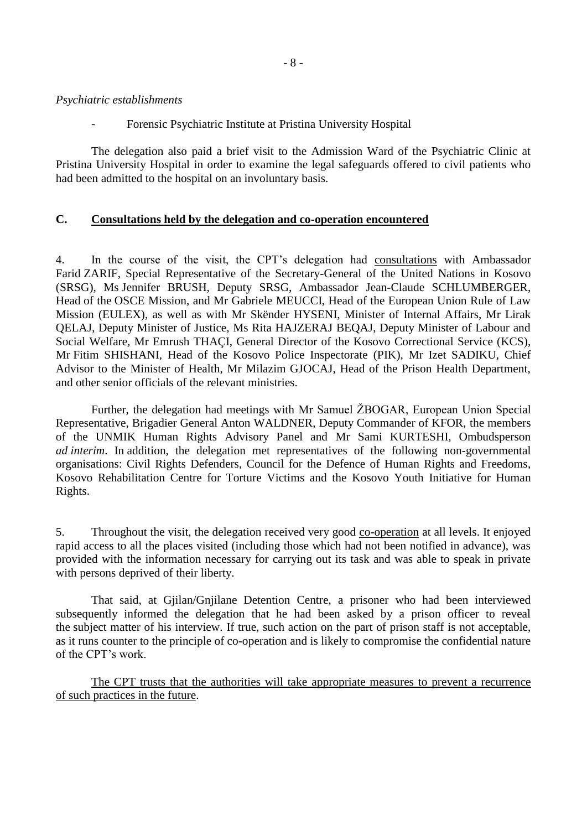#### *Psychiatric establishments*

- Forensic Psychiatric Institute at Pristina University Hospital

The delegation also paid a brief visit to the Admission Ward of the Psychiatric Clinic at Pristina University Hospital in order to examine the legal safeguards offered to civil patients who had been admitted to the hospital on an involuntary basis.

#### <span id="page-7-0"></span>**C. Consultations held by the delegation and co-operation encountered**

4. In the course of the visit, the CPT's delegation had consultations with Ambassador Farid ZARIF, Special Representative of the Secretary-General of the United Nations in Kosovo (SRSG), Ms Jennifer BRUSH, Deputy SRSG, Ambassador Jean-Claude SCHLUMBERGER, Head of the OSCE Mission, and Mr Gabriele MEUCCI, Head of the European Union Rule of Law Mission (EULEX), as well as with Mr Skënder HYSENI, Minister of Internal Affairs, Mr Lirak QELAJ, Deputy Minister of Justice, Ms Rita HAJZERAJ BEQAJ, Deputy Minister of Labour and Social Welfare, Mr Emrush THAÇI, General Director of the Kosovo Correctional Service (KCS), Mr Fitim SHISHANI, Head of the Kosovo Police Inspectorate (PIK), Mr Izet SADIKU, Chief Advisor to the Minister of Health, Mr Milazim GJOCAJ, Head of the Prison Health Department, and other senior officials of the relevant ministries.

Further, the delegation had meetings with Mr Samuel ŽBOGAR, European Union Special Representative, Brigadier General Anton WALDNER, Deputy Commander of KFOR, the members of the UNMIK Human Rights Advisory Panel and Mr Sami KURTESHI, Ombudsperson *ad interim*. In addition, the delegation met representatives of the following non-governmental organisations: Civil Rights Defenders, Council for the Defence of Human Rights and Freedoms, Kosovo Rehabilitation Centre for Torture Victims and the Kosovo Youth Initiative for Human Rights.

5. Throughout the visit, the delegation received very good co-operation at all levels. It enjoyed rapid access to all the places visited (including those which had not been notified in advance), was provided with the information necessary for carrying out its task and was able to speak in private with persons deprived of their liberty.

That said, at Gjilan/Gnjilane Detention Centre, a prisoner who had been interviewed subsequently informed the delegation that he had been asked by a prison officer to reveal the subject matter of his interview. If true, such action on the part of prison staff is not acceptable, as it runs counter to the principle of co-operation and is likely to compromise the confidential nature of the CPT's work.

The CPT trusts that the authorities will take appropriate measures to prevent a recurrence of such practices in the future.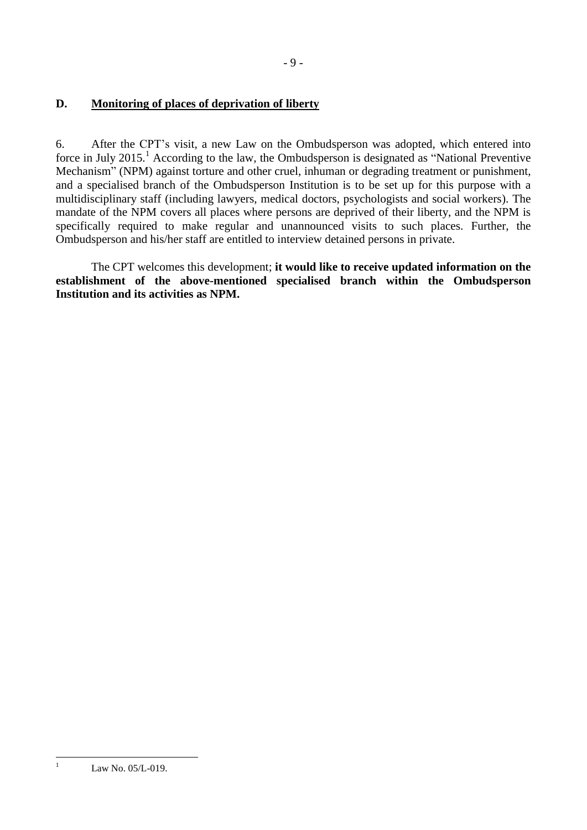# <span id="page-8-0"></span>**D. Monitoring of places of deprivation of liberty**

6. After the CPT's visit, a new Law on the Ombudsperson was adopted, which entered into force in July 2015.<sup>1</sup> According to the law, the Ombudsperson is designated as "National Preventive" Mechanism" (NPM) against torture and other cruel, inhuman or degrading treatment or punishment, and a specialised branch of the Ombudsperson Institution is to be set up for this purpose with a multidisciplinary staff (including lawyers, medical doctors, psychologists and social workers). The mandate of the NPM covers all places where persons are deprived of their liberty, and the NPM is specifically required to make regular and unannounced visits to such places. Further, the Ombudsperson and his/her staff are entitled to interview detained persons in private.

The CPT welcomes this development; **it would like to receive updated information on the establishment of the above-mentioned specialised branch within the Ombudsperson Institution and its activities as NPM.**

 $\mathbf{1}$ 

Law No. 05/L-019.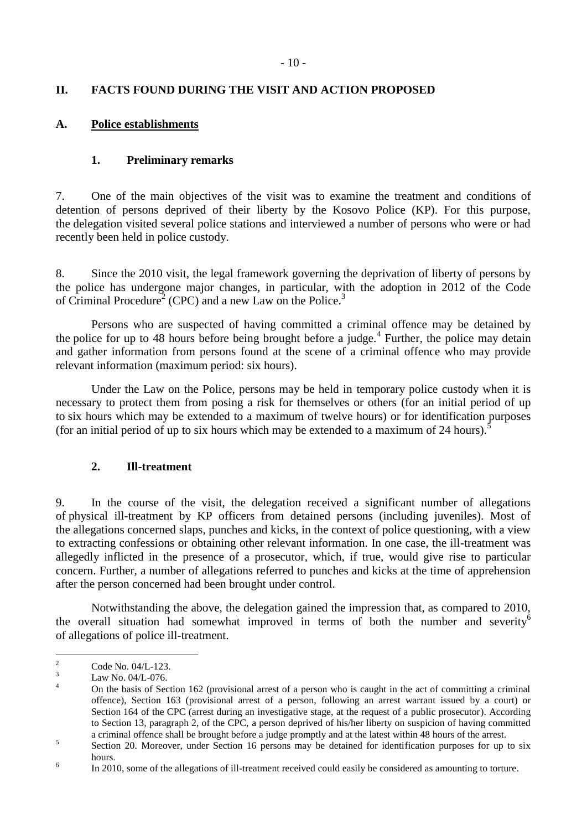# <span id="page-9-0"></span>**II. FACTS FOUND DURING THE VISIT AND ACTION PROPOSED**

# <span id="page-9-2"></span><span id="page-9-1"></span>**A. Police establishments**

### **1. Preliminary remarks**

7. One of the main objectives of the visit was to examine the treatment and conditions of detention of persons deprived of their liberty by the Kosovo Police (KP). For this purpose, the delegation visited several police stations and interviewed a number of persons who were or had recently been held in police custody.

8. Since the 2010 visit, the legal framework governing the deprivation of liberty of persons by the police has undergone major changes, in particular, with the adoption in 2012 of the Code of Criminal Procedure<sup>2</sup> (CPC) and a new Law on the Police.<sup>3</sup>

Persons who are suspected of having committed a criminal offence may be detained by the police for up to 48 hours before being brought before a judge.<sup>4</sup> Further, the police may detain and gather information from persons found at the scene of a criminal offence who may provide relevant information (maximum period: six hours).

Under the Law on the Police, persons may be held in temporary police custody when it is necessary to protect them from posing a risk for themselves or others (for an initial period of up to six hours which may be extended to a maximum of twelve hours) or for identification purposes (for an initial period of up to six hours which may be extended to a maximum of 24 hours).

# **2. Ill-treatment**

<span id="page-9-3"></span>9. In the course of the visit, the delegation received a significant number of allegations of physical ill-treatment by KP officers from detained persons (including juveniles). Most of the allegations concerned slaps, punches and kicks, in the context of police questioning, with a view to extracting confessions or obtaining other relevant information. In one case, the ill-treatment was allegedly inflicted in the presence of a prosecutor, which, if true, would give rise to particular concern. Further, a number of allegations referred to punches and kicks at the time of apprehension after the person concerned had been brought under control.

Notwithstanding the above, the delegation gained the impression that, as compared to 2010, the overall situation had somewhat improved in terms of both the number and severity<sup>6</sup> of allegations of police ill-treatment.

 $\overline{2}$  $\frac{2}{3}$  Code No. 04/L-123.

 $\frac{3}{4}$  Law No. 04/L-076.

<sup>4</sup> On the basis of Section 162 (provisional arrest of a person who is caught in the act of committing a criminal offence), Section 163 (provisional arrest of a person, following an arrest warrant issued by a court) or Section 164 of the CPC (arrest during an investigative stage, at the request of a public prosecutor). According to Section 13, paragraph 2, of the CPC, a person deprived of his/her liberty on suspicion of having committed a criminal offence shall be brought before a judge promptly and at the latest within 48 hours of the arrest.

<sup>5</sup> Section 20. Moreover, under Section 16 persons may be detained for identification purposes for up to six hours.

<sup>6</sup> In 2010, some of the allegations of ill-treatment received could easily be considered as amounting to torture.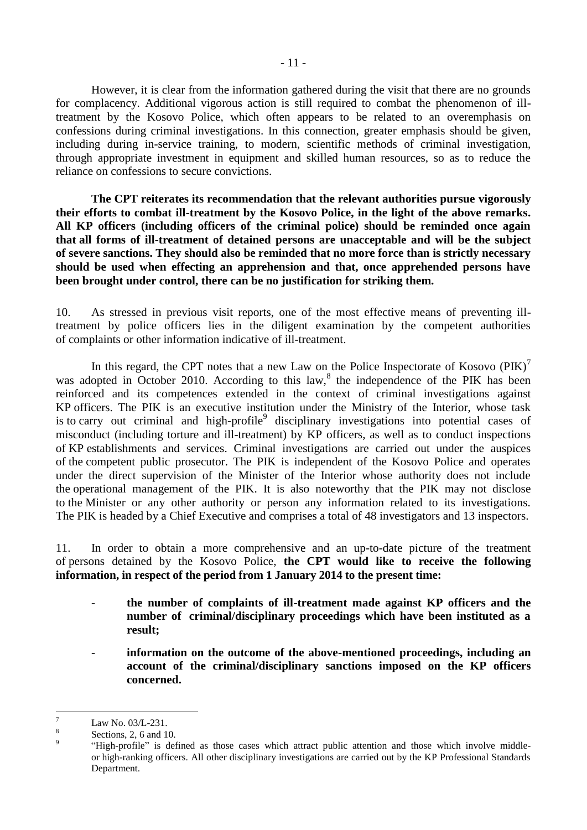However, it is clear from the information gathered during the visit that there are no grounds for complacency. Additional vigorous action is still required to combat the phenomenon of illtreatment by the Kosovo Police, which often appears to be related to an overemphasis on confessions during criminal investigations. In this connection, greater emphasis should be given, including during in-service training, to modern, scientific methods of criminal investigation, through appropriate investment in equipment and skilled human resources, so as to reduce the reliance on confessions to secure convictions.

**The CPT reiterates its recommendation that the relevant authorities pursue vigorously their efforts to combat ill-treatment by the Kosovo Police, in the light of the above remarks. All KP officers (including officers of the criminal police) should be reminded once again that all forms of ill-treatment of detained persons are unacceptable and will be the subject of severe sanctions. They should also be reminded that no more force than is strictly necessary should be used when effecting an apprehension and that, once apprehended persons have been brought under control, there can be no justification for striking them.**

10. As stressed in previous visit reports, one of the most effective means of preventing illtreatment by police officers lies in the diligent examination by the competent authorities of complaints or other information indicative of ill-treatment.

In this regard, the CPT notes that a new Law on the Police Inspectorate of Kosovo  $(PIK)^7$ was adopted in October 2010. According to this law,<sup>8</sup> the independence of the PIK has been reinforced and its competences extended in the context of criminal investigations against KP officers. The PIK is an executive institution under the Ministry of the Interior, whose task is to carry out criminal and high-profile  $9$  disciplinary investigations into potential cases of misconduct (including torture and ill-treatment) by KP officers, as well as to conduct inspections of KP establishments and services. Criminal investigations are carried out under the auspices of the competent public prosecutor. The PIK is independent of the Kosovo Police and operates under the direct supervision of the Minister of the Interior whose authority does not include the operational management of the PIK. It is also noteworthy that the PIK may not disclose to the Minister or any other authority or person any information related to its investigations. The PIK is headed by a Chief Executive and comprises a total of 48 investigators and 13 inspectors.

11. In order to obtain a more comprehensive and an up-to-date picture of the treatment of persons detained by the Kosovo Police, **the CPT would like to receive the following information, in respect of the period from 1 January 2014 to the present time:**

- **the number of complaints of ill-treatment made against KP officers and the number of criminal/disciplinary proceedings which have been instituted as a result;**
- **information on the outcome of the above-mentioned proceedings, including an account of the criminal/disciplinary sanctions imposed on the KP officers concerned.**

 $\overline{7}$ Law No. 03/L-231.

<sup>8</sup> Sections, 2, 6 and 10.  $\alpha$ 

<sup>&</sup>quot;High-profile" is defined as those cases which attract public attention and those which involve middleor high-ranking officers. All other disciplinary investigations are carried out by the KP Professional Standards Department.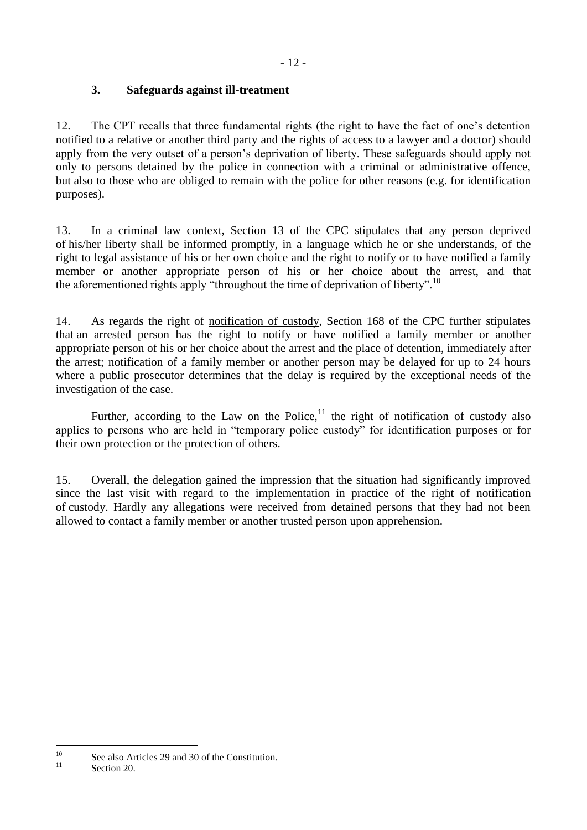# **3. Safeguards against ill-treatment**

<span id="page-11-0"></span>12. The CPT recalls that three fundamental rights (the right to have the fact of one's detention notified to a relative or another third party and the rights of access to a lawyer and a doctor) should apply from the very outset of a person's deprivation of liberty. These safeguards should apply not only to persons detained by the police in connection with a criminal or administrative offence, but also to those who are obliged to remain with the police for other reasons (e.g. for identification purposes).

13. In a criminal law context, Section 13 of the CPC stipulates that any person deprived of his/her liberty shall be informed promptly, in a language which he or she understands, of the right to legal assistance of his or her own choice and the right to notify or to have notified a family member or another appropriate person of his or her choice about the arrest, and that the aforementioned rights apply "throughout the time of deprivation of liberty".<sup>10</sup>

14. As regards the right of notification of custody, Section 168 of the CPC further stipulates that an arrested person has the right to notify or have notified a family member or another appropriate person of his or her choice about the arrest and the place of detention, immediately after the arrest; notification of a family member or another person may be delayed for up to 24 hours where a public prosecutor determines that the delay is required by the exceptional needs of the investigation of the case.

Further, according to the Law on the Police, $1$ <sup>1</sup> the right of notification of custody also applies to persons who are held in "temporary police custody" for identification purposes or for their own protection or the protection of others.

15. Overall, the delegation gained the impression that the situation had significantly improved since the last visit with regard to the implementation in practice of the right of notification of custody. Hardly any allegations were received from detained persons that they had not been allowed to contact a family member or another trusted person upon apprehension.

 $10$ <sup>10</sup> See also Articles 29 and 30 of the Constitution.

Section 20.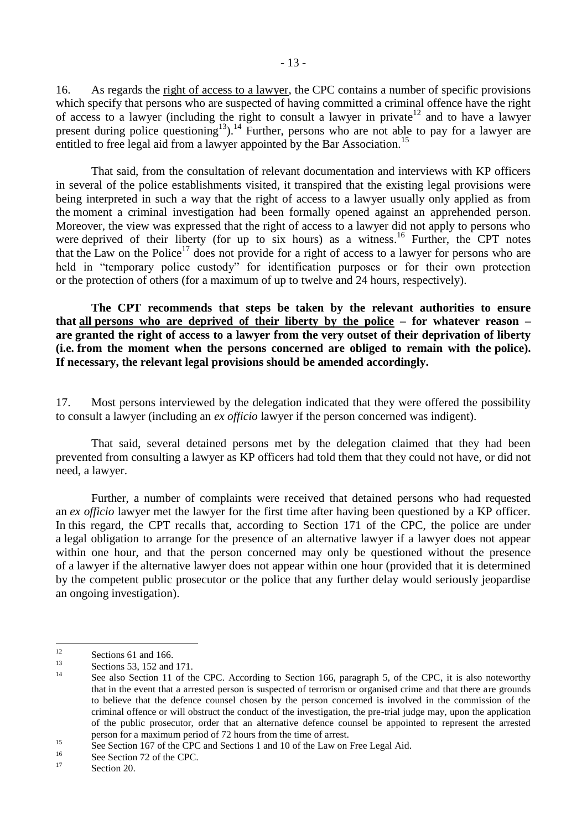16. As regards the right of access to a lawyer, the CPC contains a number of specific provisions which specify that persons who are suspected of having committed a criminal offence have the right of access to a lawyer (including the right to consult a lawyer in private<sup>12</sup> and to have a lawyer present during police questioning<sup>13</sup>).<sup>14</sup> Further, persons who are not able to pay for a lawyer are entitled to free legal aid from a lawyer appointed by the Bar Association.<sup>15</sup>

That said, from the consultation of relevant documentation and interviews with KP officers in several of the police establishments visited, it transpired that the existing legal provisions were being interpreted in such a way that the right of access to a lawyer usually only applied as from the moment a criminal investigation had been formally opened against an apprehended person. Moreover, the view was expressed that the right of access to a lawyer did not apply to persons who were deprived of their liberty (for up to six hours) as a witness.<sup>16</sup> Further, the CPT notes that the Law on the Police<sup>17</sup> does not provide for a right of access to a lawyer for persons who are held in "temporary police custody" for identification purposes or for their own protection or the protection of others (for a maximum of up to twelve and 24 hours, respectively).

**The CPT recommends that steps be taken by the relevant authorities to ensure that all persons who are deprived of their liberty by the police – for whatever reason – are granted the right of access to a lawyer from the very outset of their deprivation of liberty (i.e. from the moment when the persons concerned are obliged to remain with the police). If necessary, the relevant legal provisions should be amended accordingly.**

17. Most persons interviewed by the delegation indicated that they were offered the possibility to consult a lawyer (including an *ex officio* lawyer if the person concerned was indigent).

That said, several detained persons met by the delegation claimed that they had been prevented from consulting a lawyer as KP officers had told them that they could not have, or did not need, a lawyer.

Further, a number of complaints were received that detained persons who had requested an *ex officio* lawyer met the lawyer for the first time after having been questioned by a KP officer. In this regard, the CPT recalls that, according to Section 171 of the CPC, the police are under a legal obligation to arrange for the presence of an alternative lawyer if a lawyer does not appear within one hour, and that the person concerned may only be questioned without the presence of a lawyer if the alternative lawyer does not appear within one hour (provided that it is determined by the competent public prosecutor or the police that any further delay would seriously jeopardise an ongoing investigation).

 $12$  $\frac{12}{13}$  Sections 61 and 166.

 $13$  Sections 53, 152 and 171.

See also Section 11 of the CPC. According to Section 166, paragraph 5, of the CPC, it is also noteworthy that in the event that a arrested person is suspected of terrorism or organised crime and that there are grounds to believe that the defence counsel chosen by the person concerned is involved in the commission of the criminal offence or will obstruct the conduct of the investigation, the pre-trial judge may, upon the application of the public prosecutor, order that an alternative defence counsel be appointed to represent the arrested person for a maximum period of 72 hours from the time of arrest.

<sup>&</sup>lt;sup>15</sup> See Section 167 of the CPC and Sections 1 and 10 of the Law on Free Legal Aid.

 $^{16}$  See Section 72 of the CPC.

Section 20.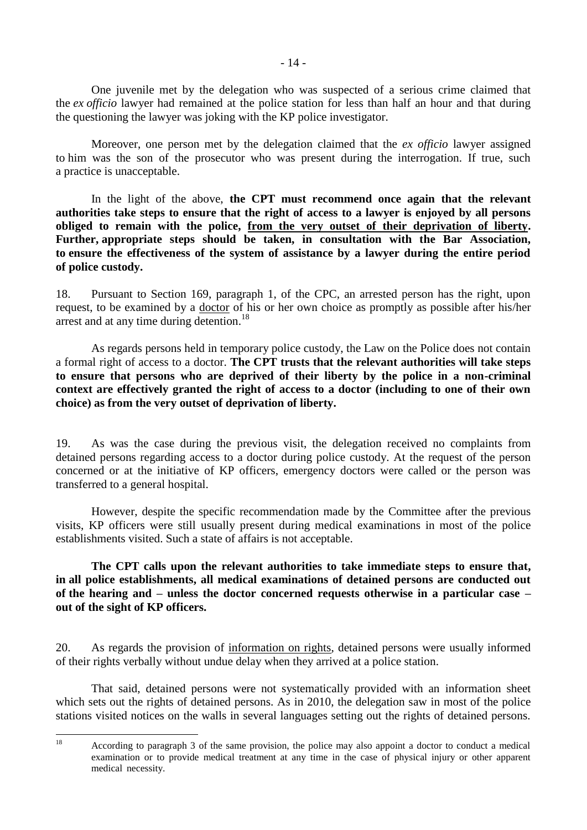One juvenile met by the delegation who was suspected of a serious crime claimed that the *ex officio* lawyer had remained at the police station for less than half an hour and that during the questioning the lawyer was joking with the KP police investigator.

Moreover, one person met by the delegation claimed that the *ex officio* lawyer assigned to him was the son of the prosecutor who was present during the interrogation. If true, such a practice is unacceptable.

In the light of the above, **the CPT must recommend once again that the relevant authorities take steps to ensure that the right of access to a lawyer is enjoyed by all persons obliged to remain with the police, from the very outset of their deprivation of liberty. Further, appropriate steps should be taken, in consultation with the Bar Association, to ensure the effectiveness of the system of assistance by a lawyer during the entire period of police custody.**

18. Pursuant to Section 169, paragraph 1, of the CPC, an arrested person has the right, upon request, to be examined by a doctor of his or her own choice as promptly as possible after his/her arrest and at any time during detention.<sup>18</sup>

As regards persons held in temporary police custody, the Law on the Police does not contain a formal right of access to a doctor. **The CPT trusts that the relevant authorities will take steps to ensure that persons who are deprived of their liberty by the police in a non-criminal context are effectively granted the right of access to a doctor (including to one of their own choice) as from the very outset of deprivation of liberty.**

19. As was the case during the previous visit, the delegation received no complaints from detained persons regarding access to a doctor during police custody. At the request of the person concerned or at the initiative of KP officers, emergency doctors were called or the person was transferred to a general hospital.

However, despite the specific recommendation made by the Committee after the previous visits, KP officers were still usually present during medical examinations in most of the police establishments visited. Such a state of affairs is not acceptable.

**The CPT calls upon the relevant authorities to take immediate steps to ensure that, in all police establishments, all medical examinations of detained persons are conducted out of the hearing and – unless the doctor concerned requests otherwise in a particular case – out of the sight of KP officers.**

20. As regards the provision of information on rights, detained persons were usually informed of their rights verbally without undue delay when they arrived at a police station.

That said, detained persons were not systematically provided with an information sheet which sets out the rights of detained persons. As in 2010, the delegation saw in most of the police stations visited notices on the walls in several languages setting out the rights of detained persons.

 $\overline{18}$ <sup>18</sup> According to paragraph 3 of the same provision, the police may also appoint a doctor to conduct a medical examination or to provide medical treatment at any time in the case of physical injury or other apparent medical necessity.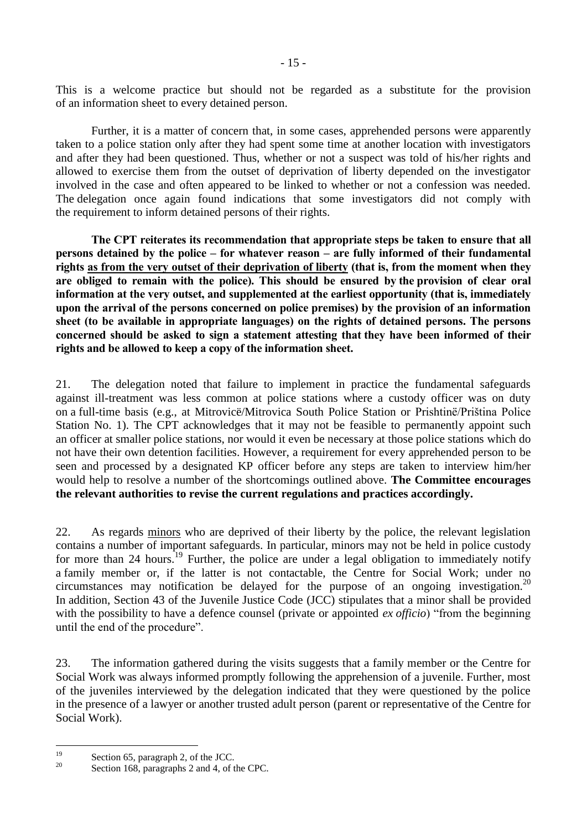This is a welcome practice but should not be regarded as a substitute for the provision of an information sheet to every detained person.

Further, it is a matter of concern that, in some cases, apprehended persons were apparently taken to a police station only after they had spent some time at another location with investigators and after they had been questioned. Thus, whether or not a suspect was told of his/her rights and allowed to exercise them from the outset of deprivation of liberty depended on the investigator involved in the case and often appeared to be linked to whether or not a confession was needed. The delegation once again found indications that some investigators did not comply with the requirement to inform detained persons of their rights.

**The CPT reiterates its recommendation that appropriate steps be taken to ensure that all persons detained by the police – for whatever reason – are fully informed of their fundamental rights as from the very outset of their deprivation of liberty (that is, from the moment when they are obliged to remain with the police). This should be ensured by the provision of clear oral information at the very outset, and supplemented at the earliest opportunity (that is, immediately upon the arrival of the persons concerned on police premises) by the provision of an information sheet (to be available in appropriate languages) on the rights of detained persons. The persons concerned should be asked to sign a statement attesting that they have been informed of their rights and be allowed to keep a copy of the information sheet.**

21. The delegation noted that failure to implement in practice the fundamental safeguards against ill-treatment was less common at police stations where a custody officer was on duty on a full-time basis (e.g., at Mitrovicë/Mitrovica South Police Station or Prishtinë/Priština Police Station No. 1). The CPT acknowledges that it may not be feasible to permanently appoint such an officer at smaller police stations, nor would it even be necessary at those police stations which do not have their own detention facilities. However, a requirement for every apprehended person to be seen and processed by a designated KP officer before any steps are taken to interview him/her would help to resolve a number of the shortcomings outlined above. **The Committee encourages the relevant authorities to revise the current regulations and practices accordingly.**

22. As regards minors who are deprived of their liberty by the police, the relevant legislation contains a number of important safeguards. In particular, minors may not be held in police custody for more than 24 hours.<sup>19</sup> Further, the police are under a legal obligation to immediately notify a family member or, if the latter is not contactable, the Centre for Social Work; under no circumstances may notification be delayed for the purpose of an ongoing investigation.<sup>20</sup> In addition, Section 43 of the Juvenile Justice Code (JCC) stipulates that a minor shall be provided with the possibility to have a defence counsel (private or appointed *ex officio*) "from the beginning until the end of the procedure".

23. The information gathered during the visits suggests that a family member or the Centre for Social Work was always informed promptly following the apprehension of a juvenile. Further, most of the juveniles interviewed by the delegation indicated that they were questioned by the police in the presence of a lawyer or another trusted adult person (parent or representative of the Centre for Social Work).

 $19$  $^{19}$  Section 65, paragraph 2, of the JCC.

Section 168, paragraphs 2 and 4, of the CPC.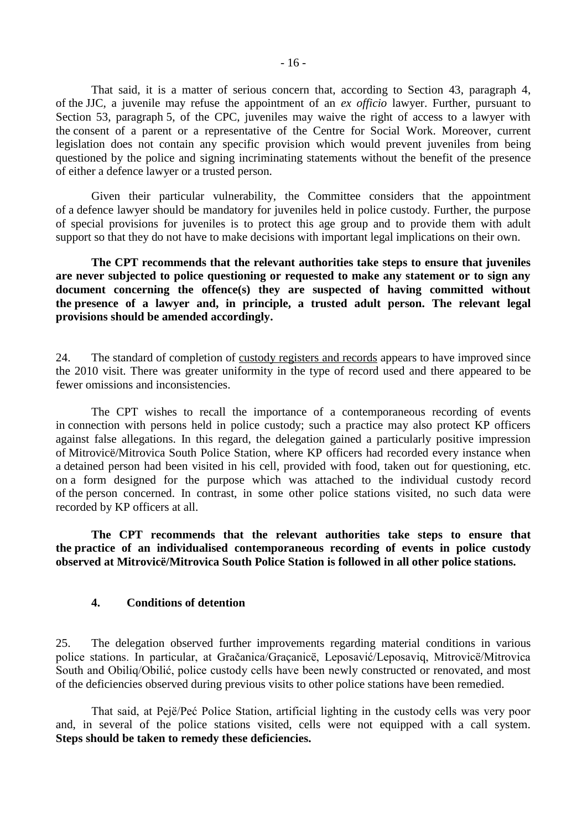That said, it is a matter of serious concern that, according to Section 43, paragraph 4, of the JJC, a juvenile may refuse the appointment of an *ex officio* lawyer. Further, pursuant to Section 53, paragraph 5, of the CPC, juveniles may waive the right of access to a lawyer with the consent of a parent or a representative of the Centre for Social Work. Moreover, current legislation does not contain any specific provision which would prevent juveniles from being questioned by the police and signing incriminating statements without the benefit of the presence of either a defence lawyer or a trusted person.

Given their particular vulnerability, the Committee considers that the appointment of a defence lawyer should be mandatory for juveniles held in police custody. Further, the purpose of special provisions for juveniles is to protect this age group and to provide them with adult support so that they do not have to make decisions with important legal implications on their own.

**The CPT recommends that the relevant authorities take steps to ensure that juveniles are never subjected to police questioning or requested to make any statement or to sign any document concerning the offence(s) they are suspected of having committed without the presence of a lawyer and, in principle, a trusted adult person. The relevant legal provisions should be amended accordingly.**

24. The standard of completion of custody registers and records appears to have improved since the 2010 visit. There was greater uniformity in the type of record used and there appeared to be fewer omissions and inconsistencies.

The CPT wishes to recall the importance of a contemporaneous recording of events in connection with persons held in police custody; such a practice may also protect KP officers against false allegations. In this regard, the delegation gained a particularly positive impression of Mitrovicë/Mitrovica South Police Station, where KP officers had recorded every instance when a detained person had been visited in his cell, provided with food, taken out for questioning, etc. on a form designed for the purpose which was attached to the individual custody record of the person concerned. In contrast, in some other police stations visited, no such data were recorded by KP officers at all.

**The CPT recommends that the relevant authorities take steps to ensure that the practice of an individualised contemporaneous recording of events in police custody observed at Mitrovicë/Mitrovica South Police Station is followed in all other police stations.**

#### <span id="page-15-0"></span>**4. Conditions of detention**

25. The delegation observed further improvements regarding material conditions in various police stations. In particular, at Gračanica/Graçanicë, Leposavić/Leposaviq, Mitrovicë/Mitrovica South and Obiliq/Obilić, police custody cells have been newly constructed or renovated, and most of the deficiencies observed during previous visits to other police stations have been remedied.

That said, at Pejë/Peć Police Station, artificial lighting in the custody cells was very poor and, in several of the police stations visited, cells were not equipped with a call system. **Steps should be taken to remedy these deficiencies.**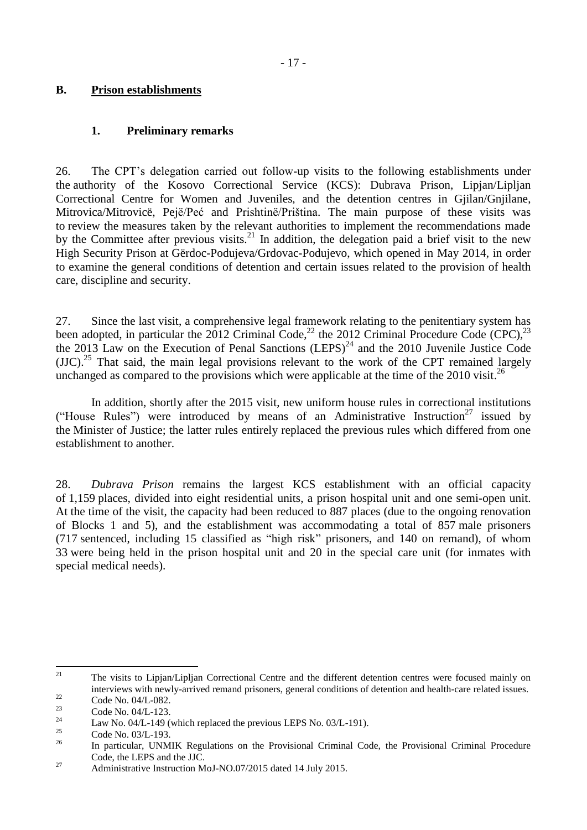#### <span id="page-16-0"></span>**B. Prison establishments**

### <span id="page-16-1"></span>**1. Preliminary remarks**

26. The CPT's delegation carried out follow-up visits to the following establishments under the authority of the Kosovo Correctional Service (KCS): Dubrava Prison, Lipjan/Lipljan Correctional Centre for Women and Juveniles, and the detention centres in Gjilan/Gnjilane, Mitrovica/Mitrovicë, Pejë/Peć and Prishtinë/Priština. The main purpose of these visits was to review the measures taken by the relevant authorities to implement the recommendations made by the Committee after previous visits.<sup>21</sup> In addition, the delegation paid a brief visit to the new High Security Prison at Gërdoc-Podujeva/Grdovac-Podujevo, which opened in May 2014, in order to examine the general conditions of detention and certain issues related to the provision of health care, discipline and security.

27. Since the last visit, a comprehensive legal framework relating to the penitentiary system has been adopted, in particular the 2012 Criminal Code,<sup>22</sup> the 2012 Criminal Procedure Code (CPC),<sup>23</sup> the 2013 Law on the Execution of Penal Sanctions  $(LEPS)^{24}$  and the 2010 Juvenile Justice Code  $(JJC).$ <sup>25</sup> That said, the main legal provisions relevant to the work of the CPT remained largely unchanged as compared to the provisions which were applicable at the time of the 2010 visit.<sup>26</sup>

In addition, shortly after the 2015 visit, new uniform house rules in correctional institutions ("House Rules") were introduced by means of an Administrative Instruction<sup>27</sup> issued by the Minister of Justice; the latter rules entirely replaced the previous rules which differed from one establishment to another.

28. *Dubrava Prison* remains the largest KCS establishment with an official capacity of 1,159 places, divided into eight residential units, a prison hospital unit and one semi-open unit. At the time of the visit, the capacity had been reduced to 887 places (due to the ongoing renovation of Blocks 1 and 5), and the establishment was accommodating a total of 857 male prisoners (717 sentenced, including 15 classified as "high risk" prisoners, and 140 on remand), of whom 33 were being held in the prison hospital unit and 20 in the special care unit (for inmates with special medical needs).

 $21$ <sup>21</sup> The visits to Lipjan/Lipljan Correctional Centre and the different detention centres were focused mainly on interviews with newly-arrived remand prisoners, general conditions of detention and health-care related issues.

 $\frac{22}{23}$  Code No. 04/L-082.

 $\frac{23}{24}$  Code No. 04/L-123.

<sup>&</sup>lt;sup>24</sup> Law No. 04/L-149 (which replaced the previous LEPS No. 03/L-191).

 $\frac{25}{26}$  Code No. 03/L-193.

<sup>26</sup> In particular, UNMIK Regulations on the Provisional Criminal Code, the Provisional Criminal Procedure Code, the LEPS and the JJC.

<sup>&</sup>lt;sup>27</sup> Administrative Instruction MoJ-NO.07/2015 dated 14 July 2015.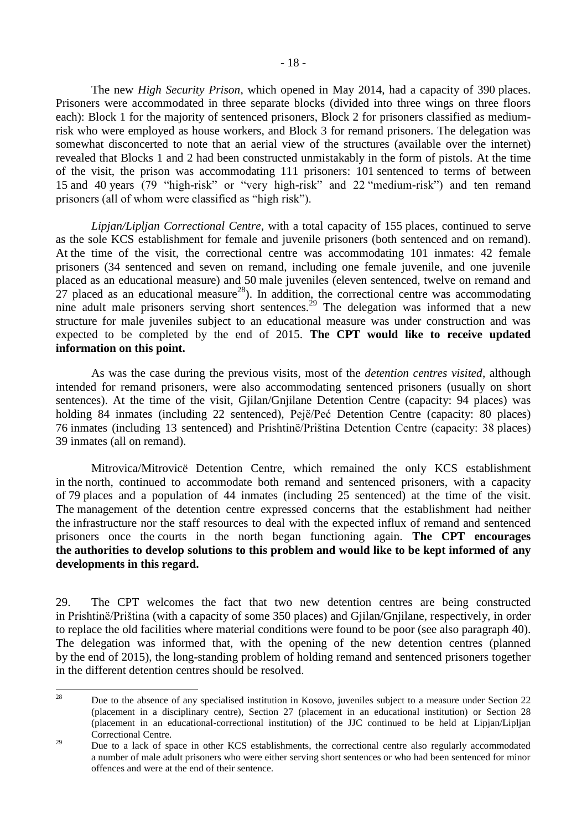The new *High Security Prison*, which opened in May 2014, had a capacity of 390 places. Prisoners were accommodated in three separate blocks (divided into three wings on three floors each): Block 1 for the majority of sentenced prisoners, Block 2 for prisoners classified as mediumrisk who were employed as house workers, and Block 3 for remand prisoners. The delegation was somewhat disconcerted to note that an aerial view of the structures (available over the internet) revealed that Blocks 1 and 2 had been constructed unmistakably in the form of pistols. At the time of the visit, the prison was accommodating 111 prisoners: 101 sentenced to terms of between 15 and 40 years (79 "high-risk" or "very high-risk" and 22 "medium-risk") and ten remand prisoners (all of whom were classified as "high risk").

*Lipjan/Lipljan Correctional Centre,* with a total capacity of 155 places, continued to serve as the sole KCS establishment for female and juvenile prisoners (both sentenced and on remand). At the time of the visit, the correctional centre was accommodating 101 inmates: 42 female prisoners (34 sentenced and seven on remand, including one female juvenile, and one juvenile placed as an educational measure) and 50 male juveniles (eleven sentenced, twelve on remand and  $27$  placed as an educational measure<sup>28</sup>). In addition, the correctional centre was accommodating nine adult male prisoners serving short sentences.<sup>29</sup> The delegation was informed that a new structure for male juveniles subject to an educational measure was under construction and was expected to be completed by the end of 2015. **The CPT would like to receive updated information on this point.**

As was the case during the previous visits, most of the *detention centres visited*, although intended for remand prisoners, were also accommodating sentenced prisoners (usually on short sentences). At the time of the visit, Gjilan/Gnjilane Detention Centre (capacity: 94 places) was holding 84 inmates (including 22 sentenced), Pejë/Peć Detention Centre (capacity: 80 places) 76 inmates (including 13 sentenced) and Prishtinë/Priština Detention Centre (capacity: 38 places) 39 inmates (all on remand).

Mitrovica/Mitrovicë Detention Centre, which remained the only KCS establishment in the north, continued to accommodate both remand and sentenced prisoners, with a capacity of 79 places and a population of 44 inmates (including 25 sentenced) at the time of the visit. The management of the detention centre expressed concerns that the establishment had neither the infrastructure nor the staff resources to deal with the expected influx of remand and sentenced prisoners once the courts in the north began functioning again. **The CPT encourages the authorities to develop solutions to this problem and would like to be kept informed of any developments in this regard.**

29. The CPT welcomes the fact that two new detention centres are being constructed in Prishtinë/Priština (with a capacity of some 350 places) and Gjilan/Gnjilane, respectively, in order to replace the old facilities where material conditions were found to be poor (see also paragraph 40). The delegation was informed that, with the opening of the new detention centres (planned by the end of 2015), the long-standing problem of holding remand and sentenced prisoners together in the different detention centres should be resolved.

<sup>28</sup> <sup>28</sup> Due to the absence of any specialised institution in Kosovo, juveniles subject to a measure under Section 22 (placement in a disciplinary centre), Section 27 (placement in an educational institution) or Section 28 (placement in an educational-correctional institution) of the JJC continued to be held at Lipjan/Lipljan Correctional Centre.

<sup>&</sup>lt;sup>29</sup> Due to a lack of space in other KCS establishments, the correctional centre also regularly accommodated a number of male adult prisoners who were either serving short sentences or who had been sentenced for minor offences and were at the end of their sentence.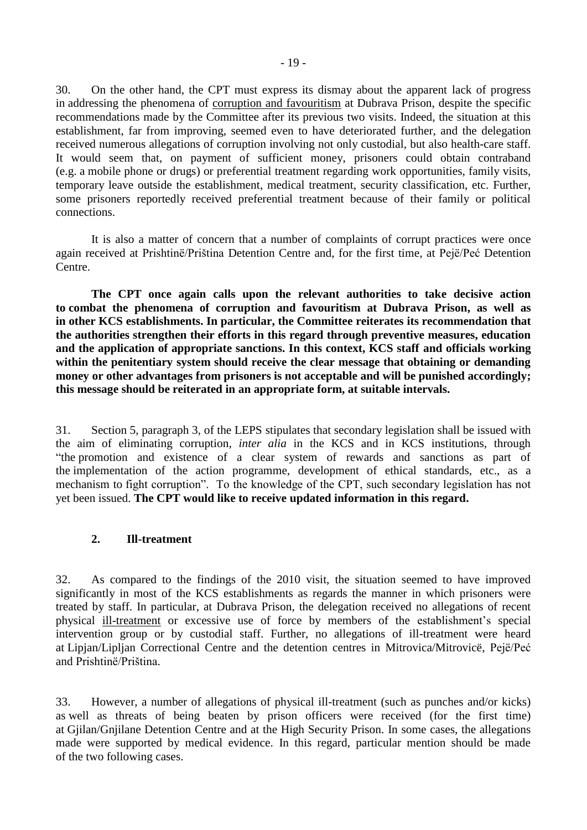30. On the other hand, the CPT must express its dismay about the apparent lack of progress in addressing the phenomena of corruption and favouritism at Dubrava Prison, despite the specific recommendations made by the Committee after its previous two visits. Indeed, the situation at this establishment, far from improving, seemed even to have deteriorated further, and the delegation received numerous allegations of corruption involving not only custodial, but also health-care staff. It would seem that, on payment of sufficient money, prisoners could obtain contraband (e.g. a mobile phone or drugs) or preferential treatment regarding work opportunities, family visits, temporary leave outside the establishment, medical treatment, security classification, etc. Further, some prisoners reportedly received preferential treatment because of their family or political connections.

It is also a matter of concern that a number of complaints of corrupt practices were once again received at Prishtinë/Priština Detention Centre and, for the first time, at Pejë/Peć Detention Centre.

**The CPT once again calls upon the relevant authorities to take decisive action to combat the phenomena of corruption and favouritism at Dubrava Prison, as well as in other KCS establishments. In particular, the Committee reiterates its recommendation that the authorities strengthen their efforts in this regard through preventive measures, education and the application of appropriate sanctions. In this context, KCS staff and officials working within the penitentiary system should receive the clear message that obtaining or demanding money or other advantages from prisoners is not acceptable and will be punished accordingly; this message should be reiterated in an appropriate form, at suitable intervals.**

31. Section 5, paragraph 3, of the LEPS stipulates that secondary legislation shall be issued with the aim of eliminating corruption, *inter alia* in the KCS and in KCS institutions, through "the promotion and existence of a clear system of rewards and sanctions as part of the implementation of the action programme, development of ethical standards, etc., as a mechanism to fight corruption". To the knowledge of the CPT, such secondary legislation has not yet been issued. **The CPT would like to receive updated information in this regard.**

#### <span id="page-18-0"></span>**2. Ill-treatment**

32. As compared to the findings of the 2010 visit, the situation seemed to have improved significantly in most of the KCS establishments as regards the manner in which prisoners were treated by staff. In particular, at Dubrava Prison, the delegation received no allegations of recent physical ill-treatment or excessive use of force by members of the establishment's special intervention group or by custodial staff. Further, no allegations of ill-treatment were heard at Lipjan/Lipljan Correctional Centre and the detention centres in Mitrovica/Mitrovicë, Pejë/Peć and Prishtinë/Priština.

33. However, a number of allegations of physical ill-treatment (such as punches and/or kicks) as well as threats of being beaten by prison officers were received (for the first time) at Gjilan/Gnjilane Detention Centre and at the High Security Prison. In some cases, the allegations made were supported by medical evidence. In this regard, particular mention should be made of the two following cases.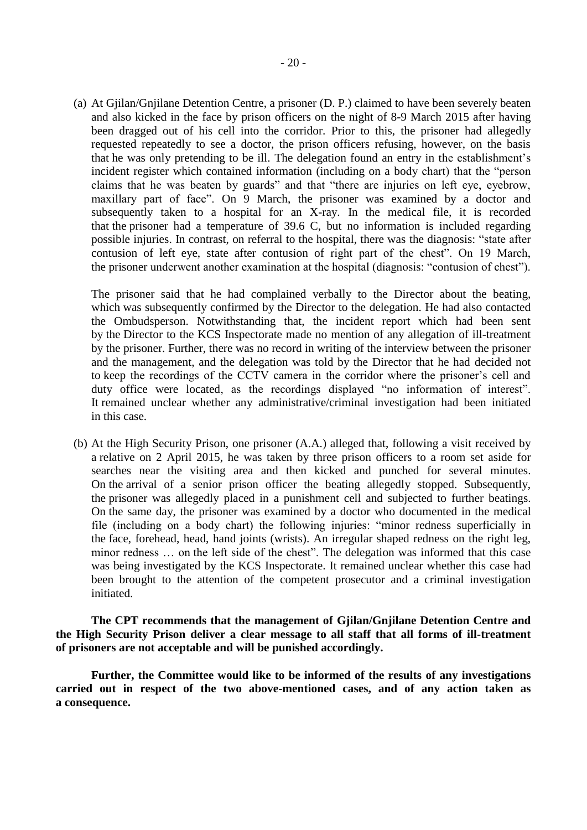(a) At Gjilan/Gnjilane Detention Centre, a prisoner (D. P.) claimed to have been severely beaten and also kicked in the face by prison officers on the night of 8-9 March 2015 after having been dragged out of his cell into the corridor. Prior to this, the prisoner had allegedly requested repeatedly to see a doctor, the prison officers refusing, however, on the basis that he was only pretending to be ill. The delegation found an entry in the establishment's incident register which contained information (including on a body chart) that the "person claims that he was beaten by guards" and that "there are injuries on left eye, eyebrow, maxillary part of face". On 9 March, the prisoner was examined by a doctor and subsequently taken to a hospital for an X-ray. In the medical file, it is recorded that the prisoner had a temperature of 39.6 C, but no information is included regarding possible injuries. In contrast, on referral to the hospital, there was the diagnosis: "state after contusion of left eye, state after contusion of right part of the chest". On 19 March, the prisoner underwent another examination at the hospital (diagnosis: "contusion of chest").

The prisoner said that he had complained verbally to the Director about the beating, which was subsequently confirmed by the Director to the delegation. He had also contacted the Ombudsperson. Notwithstanding that, the incident report which had been sent by the Director to the KCS Inspectorate made no mention of any allegation of ill-treatment by the prisoner. Further, there was no record in writing of the interview between the prisoner and the management, and the delegation was told by the Director that he had decided not to keep the recordings of the CCTV camera in the corridor where the prisoner's cell and duty office were located, as the recordings displayed "no information of interest". It remained unclear whether any administrative/criminal investigation had been initiated in this case.

(b) At the High Security Prison, one prisoner (A.A.) alleged that, following a visit received by a relative on 2 April 2015, he was taken by three prison officers to a room set aside for searches near the visiting area and then kicked and punched for several minutes. On the arrival of a senior prison officer the beating allegedly stopped. Subsequently, the prisoner was allegedly placed in a punishment cell and subjected to further beatings. On the same day, the prisoner was examined by a doctor who documented in the medical file (including on a body chart) the following injuries: "minor redness superficially in the face, forehead, head, hand joints (wrists). An irregular shaped redness on the right leg, minor redness … on the left side of the chest". The delegation was informed that this case was being investigated by the KCS Inspectorate. It remained unclear whether this case had been brought to the attention of the competent prosecutor and a criminal investigation initiated.

**The CPT recommends that the management of Gjilan/Gnjilane Detention Centre and the High Security Prison deliver a clear message to all staff that all forms of ill-treatment of prisoners are not acceptable and will be punished accordingly.**

**Further, the Committee would like to be informed of the results of any investigations carried out in respect of the two above-mentioned cases, and of any action taken as a consequence.**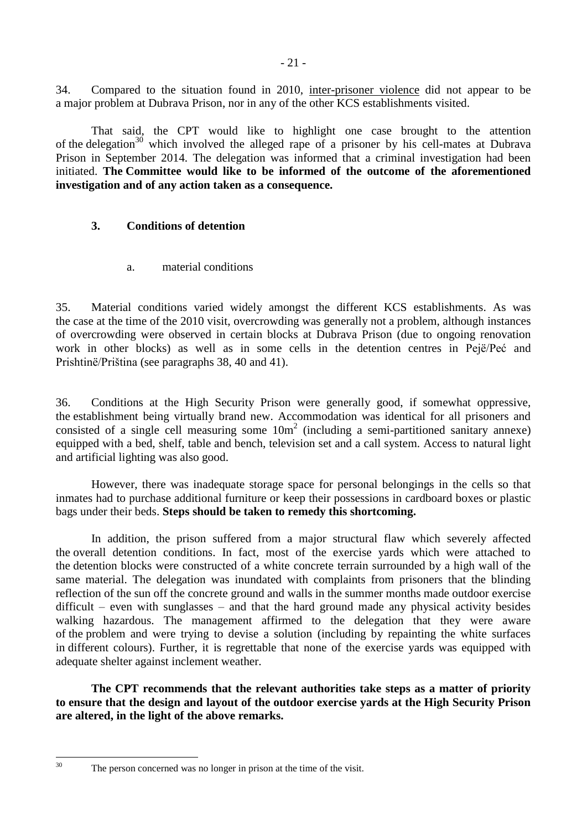34. Compared to the situation found in 2010, inter-prisoner violence did not appear to be a major problem at Dubrava Prison, nor in any of the other KCS establishments visited.

That said, the CPT would like to highlight one case brought to the attention of the delegation<sup>30</sup> which involved the alleged rape of a prisoner by his cell-mates at Dubrava Prison in September 2014. The delegation was informed that a criminal investigation had been initiated. **The Committee would like to be informed of the outcome of the aforementioned investigation and of any action taken as a consequence.**

# <span id="page-20-0"></span>**3. Conditions of detention**

a. material conditions

<span id="page-20-1"></span>35. Material conditions varied widely amongst the different KCS establishments. As was the case at the time of the 2010 visit, overcrowding was generally not a problem, although instances of overcrowding were observed in certain blocks at Dubrava Prison (due to ongoing renovation work in other blocks) as well as in some cells in the detention centres in Pejë/Peć and Prishtinë/Priština (see paragraphs 38, 40 and 41).

36. Conditions at the High Security Prison were generally good, if somewhat oppressive, the establishment being virtually brand new. Accommodation was identical for all prisoners and consisted of a single cell measuring some 10m 2 (including a semi-partitioned sanitary annexe) equipped with a bed, shelf, table and bench, television set and a call system. Access to natural light and artificial lighting was also good.

However, there was inadequate storage space for personal belongings in the cells so that inmates had to purchase additional furniture or keep their possessions in cardboard boxes or plastic bags under their beds. **Steps should be taken to remedy this shortcoming.**

In addition, the prison suffered from a major structural flaw which severely affected the overall detention conditions. In fact, most of the exercise yards which were attached to the detention blocks were constructed of a white concrete terrain surrounded by a high wall of the same material. The delegation was inundated with complaints from prisoners that the blinding reflection of the sun off the concrete ground and walls in the summer months made outdoor exercise difficult – even with sunglasses – and that the hard ground made any physical activity besides walking hazardous. The management affirmed to the delegation that they were aware of the problem and were trying to devise a solution (including by repainting the white surfaces in different colours). Further, it is regrettable that none of the exercise yards was equipped with adequate shelter against inclement weather.

**The CPT recommends that the relevant authorities take steps as a matter of priority to ensure that the design and layout of the outdoor exercise yards at the High Security Prison are altered, in the light of the above remarks.**

 $30^{\circ}$ 

The person concerned was no longer in prison at the time of the visit.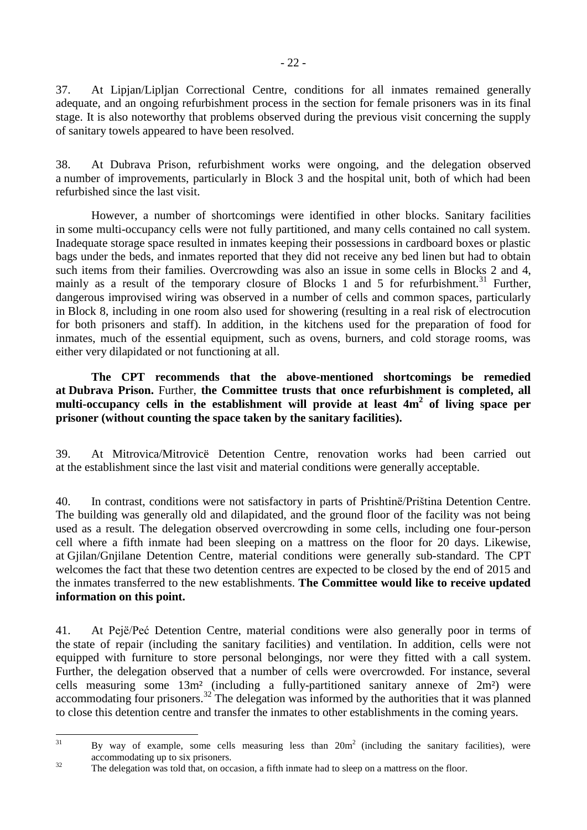37. At Lipjan/Lipljan Correctional Centre, conditions for all inmates remained generally adequate, and an ongoing refurbishment process in the section for female prisoners was in its final stage. It is also noteworthy that problems observed during the previous visit concerning the supply of sanitary towels appeared to have been resolved.

38. At Dubrava Prison, refurbishment works were ongoing, and the delegation observed a number of improvements, particularly in Block 3 and the hospital unit, both of which had been refurbished since the last visit.

However, a number of shortcomings were identified in other blocks. Sanitary facilities in some multi-occupancy cells were not fully partitioned, and many cells contained no call system. Inadequate storage space resulted in inmates keeping their possessions in cardboard boxes or plastic bags under the beds, and inmates reported that they did not receive any bed linen but had to obtain such items from their families. Overcrowding was also an issue in some cells in Blocks 2 and 4, mainly as a result of the temporary closure of Blocks 1 and 5 for refurbishment.<sup>31</sup> Further, dangerous improvised wiring was observed in a number of cells and common spaces, particularly in Block 8, including in one room also used for showering (resulting in a real risk of electrocution for both prisoners and staff). In addition, in the kitchens used for the preparation of food for inmates, much of the essential equipment, such as ovens, burners, and cold storage rooms, was either very dilapidated or not functioning at all.

**The CPT recommends that the above-mentioned shortcomings be remedied at Dubrava Prison.** Further, **the Committee trusts that once refurbishment is completed, all multi-occupancy cells in the establishment will provide at least 4m<sup>2</sup> of living space per prisoner (without counting the space taken by the sanitary facilities).**

39. At Mitrovica/Mitrovicë Detention Centre, renovation works had been carried out at the establishment since the last visit and material conditions were generally acceptable.

40. In contrast, conditions were not satisfactory in parts of Prishtinë/Priština Detention Centre. The building was generally old and dilapidated, and the ground floor of the facility was not being used as a result. The delegation observed overcrowding in some cells, including one four-person cell where a fifth inmate had been sleeping on a mattress on the floor for 20 days. Likewise, at Gjilan/Gnjilane Detention Centre*,* material conditions were generally sub-standard. The CPT welcomes the fact that these two detention centres are expected to be closed by the end of 2015 and the inmates transferred to the new establishments. **The Committee would like to receive updated information on this point.**

41. At Pejë/Peć Detention Centre, material conditions were also generally poor in terms of the state of repair (including the sanitary facilities) and ventilation. In addition, cells were not equipped with furniture to store personal belongings, nor were they fitted with a call system. Further, the delegation observed that a number of cells were overcrowded. For instance, several cells measuring some 13m² (including a fully-partitioned sanitary annexe of 2m²) were accommodating four prisoners.<sup>32</sup> The delegation was informed by the authorities that it was planned to close this detention centre and transfer the inmates to other establishments in the coming years.

 $31$  $31$  By way of example, some cells measuring less than  $20m^2$  (including the sanitary facilities), were accommodating up to six prisoners.

<sup>&</sup>lt;sup>32</sup> The delegation was told that, on occasion, a fifth inmate had to sleep on a mattress on the floor.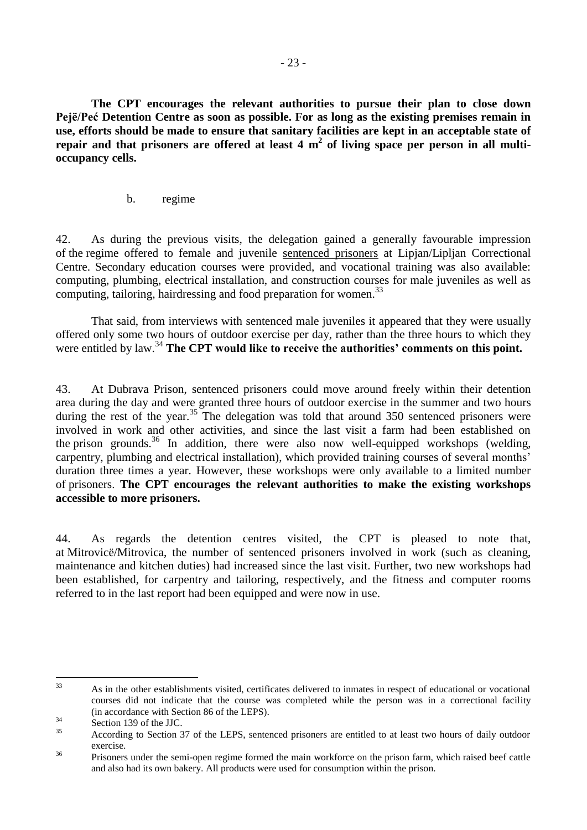**The CPT encourages the relevant authorities to pursue their plan to close down Pejë/Peć Detention Centre as soon as possible. For as long as the existing premises remain in use, efforts should be made to ensure that sanitary facilities are kept in an acceptable state of repair and that prisoners are offered at least 4 m 2 of living space per person in all multioccupancy cells.**

b. regime

<span id="page-22-0"></span>42. As during the previous visits, the delegation gained a generally favourable impression of the regime offered to female and juvenile sentenced prisoners at Lipjan/Lipljan Correctional Centre. Secondary education courses were provided, and vocational training was also available: computing, plumbing, electrical installation, and construction courses for male juveniles as well as computing, tailoring, hairdressing and food preparation for women.<sup>33</sup>

That said, from interviews with sentenced male juveniles it appeared that they were usually offered only some two hours of outdoor exercise per day, rather than the three hours to which they were entitled by law.<sup>34</sup> **The CPT would like to receive the authorities' comments on this point.** 

43. At Dubrava Prison, sentenced prisoners could move around freely within their detention area during the day and were granted three hours of outdoor exercise in the summer and two hours during the rest of the year.<sup>35</sup> The delegation was told that around 350 sentenced prisoners were involved in work and other activities, and since the last visit a farm had been established on the prison grounds.<sup>36</sup> In addition, there were also now well-equipped workshops (welding, carpentry, plumbing and electrical installation), which provided training courses of several months' duration three times a year. However, these workshops were only available to a limited number of prisoners. **The CPT encourages the relevant authorities to make the existing workshops accessible to more prisoners.** 

44. As regards the detention centres visited, the CPT is pleased to note that, at Mitrovicë/Mitrovica, the number of sentenced prisoners involved in work (such as cleaning, maintenance and kitchen duties) had increased since the last visit. Further, two new workshops had been established, for carpentry and tailoring, respectively, and the fitness and computer rooms referred to in the last report had been equipped and were now in use.

<sup>33</sup> <sup>33</sup> As in the other establishments visited, certificates delivered to inmates in respect of educational or vocational courses did not indicate that the course was completed while the person was in a correctional facility (in accordance with Section 86 of the LEPS).

 $\frac{34}{35}$  Section 139 of the JJC.

<sup>35</sup> According to Section 37 of the LEPS, sentenced prisoners are entitled to at least two hours of daily outdoor exercise.

<sup>&</sup>lt;sup>36</sup> Prisoners under the semi-open regime formed the main workforce on the prison farm, which raised beef cattle and also had its own bakery. All products were used for consumption within the prison.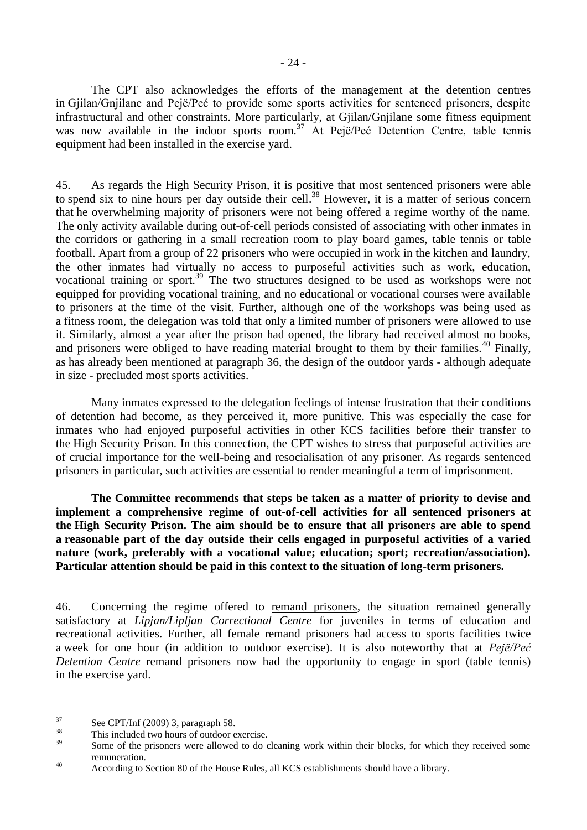The CPT also acknowledges the efforts of the management at the detention centres in Gjilan/Gnjilane and Pejë/Peć to provide some sports activities for sentenced prisoners, despite infrastructural and other constraints. More particularly, at Gjilan/Gnjilane some fitness equipment was now available in the indoor sports room.<sup>37</sup> At Pejë/Peć Detention Centre, table tennis equipment had been installed in the exercise yard.

45. As regards the High Security Prison, it is positive that most sentenced prisoners were able to spend six to nine hours per day outside their cell. <sup>38</sup> However, it is a matter of serious concern that he overwhelming majority of prisoners were not being offered a regime worthy of the name. The only activity available during out-of-cell periods consisted of associating with other inmates in the corridors or gathering in a small recreation room to play board games, table tennis or table football. Apart from a group of 22 prisoners who were occupied in work in the kitchen and laundry, the other inmates had virtually no access to purposeful activities such as work, education, vocational training or sport.<sup>39</sup> The two structures designed to be used as workshops were not equipped for providing vocational training, and no educational or vocational courses were available to prisoners at the time of the visit. Further, although one of the workshops was being used as a fitness room, the delegation was told that only a limited number of prisoners were allowed to use it. Similarly, almost a year after the prison had opened, the library had received almost no books, and prisoners were obliged to have reading material brought to them by their families.<sup>40</sup> Finally, as has already been mentioned at paragraph 36, the design of the outdoor yards - although adequate in size - precluded most sports activities.

Many inmates expressed to the delegation feelings of intense frustration that their conditions of detention had become, as they perceived it, more punitive. This was especially the case for inmates who had enjoyed purposeful activities in other KCS facilities before their transfer to the High Security Prison. In this connection, the CPT wishes to stress that purposeful activities are of crucial importance for the well-being and resocialisation of any prisoner. As regards sentenced prisoners in particular, such activities are essential to render meaningful a term of imprisonment.

**The Committee recommends that steps be taken as a matter of priority to devise and implement a comprehensive regime of out-of-cell activities for all sentenced prisoners at the High Security Prison. The aim should be to ensure that all prisoners are able to spend a reasonable part of the day outside their cells engaged in purposeful activities of a varied nature (work, preferably with a vocational value; education; sport; recreation/association). Particular attention should be paid in this context to the situation of long-term prisoners.**

46. Concerning the regime offered to remand prisoners, the situation remained generally satisfactory at *Lipjan/Lipljan Correctional Centre* for juveniles in terms of education and recreational activities. Further, all female remand prisoners had access to sports facilities twice a week for one hour (in addition to outdoor exercise). It is also noteworthy that at *Pejë/Peć Detention Centre* remand prisoners now had the opportunity to engage in sport (table tennis) in the exercise yard.

<sup>37</sup>  $\frac{37}{38}$  See CPT/Inf (2009) 3, paragraph 58.

 $^{38}$  This included two hours of outdoor exercise.

Some of the prisoners were allowed to do cleaning work within their blocks, for which they received some remuneration.

<sup>&</sup>lt;sup>40</sup> According to Section 80 of the House Rules, all KCS establishments should have a library.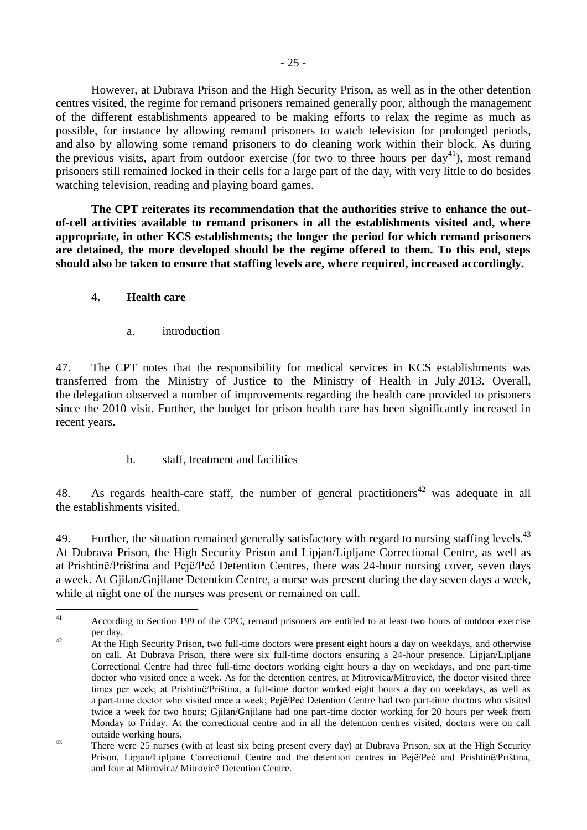However, at Dubrava Prison and the High Security Prison, as well as in the other detention centres visited, the regime for remand prisoners remained generally poor, although the management of the different establishments appeared to be making efforts to relax the regime as much as possible, for instance by allowing remand prisoners to watch television for prolonged periods, and also by allowing some remand prisoners to do cleaning work within their block. As during the previous visits, apart from outdoor exercise (for two to three hours per  $\text{d}av^{41}$ ), most remand prisoners still remained locked in their cells for a large part of the day, with very little to do besides watching television, reading and playing board games.

**The CPT reiterates its recommendation that the authorities strive to enhance the outof-cell activities available to remand prisoners in all the establishments visited and, where appropriate, in other KCS establishments; the longer the period for which remand prisoners are detained, the more developed should be the regime offered to them. To this end, steps should also be taken to ensure that staffing levels are, where required, increased accordingly.**

# <span id="page-24-0"></span>**4. Health care**

a. introduction

<span id="page-24-1"></span>47. The CPT notes that the responsibility for medical services in KCS establishments was transferred from the Ministry of Justice to the Ministry of Health in July 2013. Overall, the delegation observed a number of improvements regarding the health care provided to prisoners since the 2010 visit. Further, the budget for prison health care has been significantly increased in recent years.

b. staff, treatment and facilities

<span id="page-24-2"></span>48. As regards health-care staff, the number of general practitioners<sup>42</sup> was adequate in all the establishments visited.

49. Further, the situation remained generally satisfactory with regard to nursing staffing levels.<sup>43</sup> At Dubrava Prison, the High Security Prison and Lipjan/Lipljane Correctional Centre, as well as at Prishtinë/Priština and Pejë/Peć Detention Centres, there was 24-hour nursing cover, seven days a week. At Gjilan/Gnjilane Detention Centre, a nurse was present during the day seven days a week, while at night one of the nurses was present or remained on call.

 $41$ According to Section 199 of the CPC, remand prisoners are entitled to at least two hours of outdoor exercise per day.

<sup>&</sup>lt;sup>42</sup> At the High Security Prison, two full-time doctors were present eight hours a day on weekdays, and otherwise on call. At Dubrava Prison, there were six full-time doctors ensuring a 24-hour presence. Lipjan/Lipljane Correctional Centre had three full-time doctors working eight hours a day on weekdays, and one part-time doctor who visited once a week. As for the detention centres, at Mitrovica/Mitrovicë, the doctor visited three times per week; at Prishtinë/Priština, a full-time doctor worked eight hours a day on weekdays, as well as a part-time doctor who visited once a week; Pejë/Peć Detention Centre had two part-time doctors who visited twice a week for two hours; Gjilan/Gnjilane had one part-time doctor working for 20 hours per week from Monday to Friday. At the correctional centre and in all the detention centres visited, doctors were on call outside working hours.

<sup>&</sup>lt;sup>43</sup> There were 25 nurses (with at least six being present every day) at Dubrava Prison, six at the High Security Prison, Lipjan/Lipljane Correctional Centre and the detention centres in Pejë/Peć and Prishtinë/Priština, and four at Mitrovica/ Mitrovicë Detention Centre.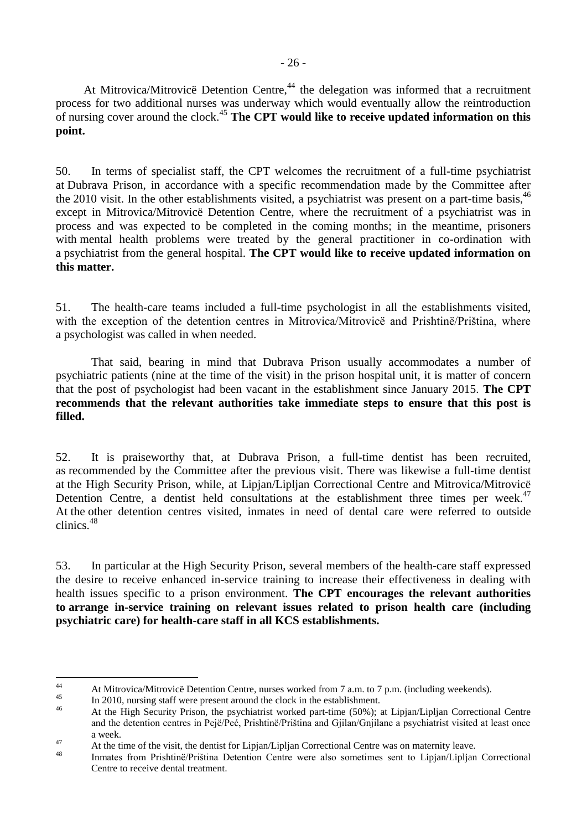At Mitrovica/Mitrovice Detention Centre,<sup>44</sup> the delegation was informed that a recruitment process for two additional nurses was underway which would eventually allow the reintroduction of nursing cover around the clock.<sup>45</sup> **The CPT would like to receive updated information on this point.**

50. In terms of specialist staff, the CPT welcomes the recruitment of a full-time psychiatrist at Dubrava Prison, in accordance with a specific recommendation made by the Committee after the 2010 visit. In the other establishments visited, a psychiatrist was present on a part-time basis,<sup>46</sup> except in Mitrovica/Mitrovicë Detention Centre, where the recruitment of a psychiatrist was in process and was expected to be completed in the coming months; in the meantime, prisoners with mental health problems were treated by the general practitioner in co-ordination with a psychiatrist from the general hospital. **The CPT would like to receive updated information on this matter.**

51. The health-care teams included a full-time psychologist in all the establishments visited, with the exception of the detention centres in Mitrovica/Mitrovice and Prishtine/Priština, where a psychologist was called in when needed.

That said, bearing in mind that Dubrava Prison usually accommodates a number of psychiatric patients (nine at the time of the visit) in the prison hospital unit, it is matter of concern that the post of psychologist had been vacant in the establishment since January 2015. **The CPT recommends that the relevant authorities take immediate steps to ensure that this post is filled.**

52. It is praiseworthy that, at Dubrava Prison, a full-time dentist has been recruited, as recommended by the Committee after the previous visit. There was likewise a full-time dentist at the High Security Prison, while, at Lipjan/Lipljan Correctional Centre and Mitrovica/Mitrovicë Detention Centre, a dentist held consultations at the establishment three times per week.<sup>47</sup> At the other detention centres visited, inmates in need of dental care were referred to outside clinics.<sup>48</sup>

53. In particular at the High Security Prison, several members of the health-care staff expressed the desire to receive enhanced in-service training to increase their effectiveness in dealing with health issues specific to a prison environment. **The CPT encourages the relevant authorities to arrange in-service training on relevant issues related to prison health care (including psychiatric care) for health-care staff in all KCS establishments.**

 $44$ 44 At Mitrovica/Mitrovicë Detention Centre, nurses worked from 7 a.m. to 7 p.m. (including weekends).

 $^{45}$  In 2010, nursing staff were present around the clock in the establishment.

<sup>46</sup> At the High Security Prison, the psychiatrist worked part-time (50%); at Lipjan/Lipljan Correctional Centre and the detention centres in Pejë/Peć, Prishtinë/Priština and Gjilan/Gnjilane a psychiatrist visited at least once a week.

<sup>&</sup>lt;sup>47</sup> At the time of the visit, the dentist for Lipjan/Lipljan Correctional Centre was on maternity leave.

Inmates from Prishtinë/Priština Detention Centre were also sometimes sent to Lipjan/Lipljan Correctional Centre to receive dental treatment.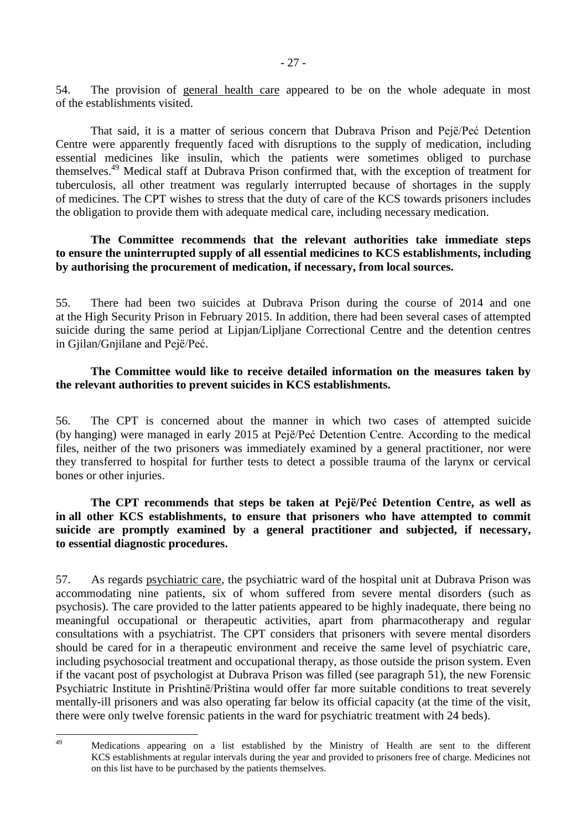54. The provision of general health care appeared to be on the whole adequate in most of the establishments visited.

That said, it is a matter of serious concern that Dubrava Prison and Pejë/Peć Detention Centre were apparently frequently faced with disruptions to the supply of medication, including essential medicines like insulin, which the patients were sometimes obliged to purchase themselves. <sup>49</sup> Medical staff at Dubrava Prison confirmed that, with the exception of treatment for tuberculosis, all other treatment was regularly interrupted because of shortages in the supply of medicines. The CPT wishes to stress that the duty of care of the KCS towards prisoners includes the obligation to provide them with adequate medical care, including necessary medication.

#### **The Committee recommends that the relevant authorities take immediate steps to ensure the uninterrupted supply of all essential medicines to KCS establishments, including by authorising the procurement of medication, if necessary, from local sources.**

55. There had been two suicides at Dubrava Prison during the course of 2014 and one at the High Security Prison in February 2015. In addition, there had been several cases of attempted suicide during the same period at Lipjan/Lipljane Correctional Centre and the detention centres in Gjilan/Gnjilane and Pejë/Peć.

### **The Committee would like to receive detailed information on the measures taken by the relevant authorities to prevent suicides in KCS establishments.**

56. The CPT is concerned about the manner in which two cases of attempted suicide (by hanging) were managed in early 2015 at Pejë/Peć Detention Centre. According to the medical files, neither of the two prisoners was immediately examined by a general practitioner, nor were they transferred to hospital for further tests to detect a possible trauma of the larynx or cervical bones or other injuries.

### **The CPT recommends that steps be taken at Pejë/Peć Detention Centre, as well as in all other KCS establishments, to ensure that prisoners who have attempted to commit suicide are promptly examined by a general practitioner and subjected, if necessary, to essential diagnostic procedures.**

57. As regards psychiatric care, the psychiatric ward of the hospital unit at Dubrava Prison was accommodating nine patients, six of whom suffered from severe mental disorders (such as psychosis). The care provided to the latter patients appeared to be highly inadequate, there being no meaningful occupational or therapeutic activities, apart from pharmacotherapy and regular consultations with a psychiatrist. The CPT considers that prisoners with severe mental disorders should be cared for in a therapeutic environment and receive the same level of psychiatric care, including psychosocial treatment and occupational therapy, as those outside the prison system. Even if the vacant post of psychologist at Dubrava Prison was filled (see paragraph 51), the new Forensic Psychiatric Institute in Prishtinë/Priština would offer far more suitable conditions to treat severely mentally-ill prisoners and was also operating far below its official capacity (at the time of the visit, there were only twelve forensic patients in the ward for psychiatric treatment with 24 beds).

 $\overline{AQ}$ <sup>49</sup> Medications appearing on a list established by the Ministry of Health are sent to the different KCS establishments at regular intervals during the year and provided to prisoners free of charge. Medicines not on this list have to be purchased by the patients themselves.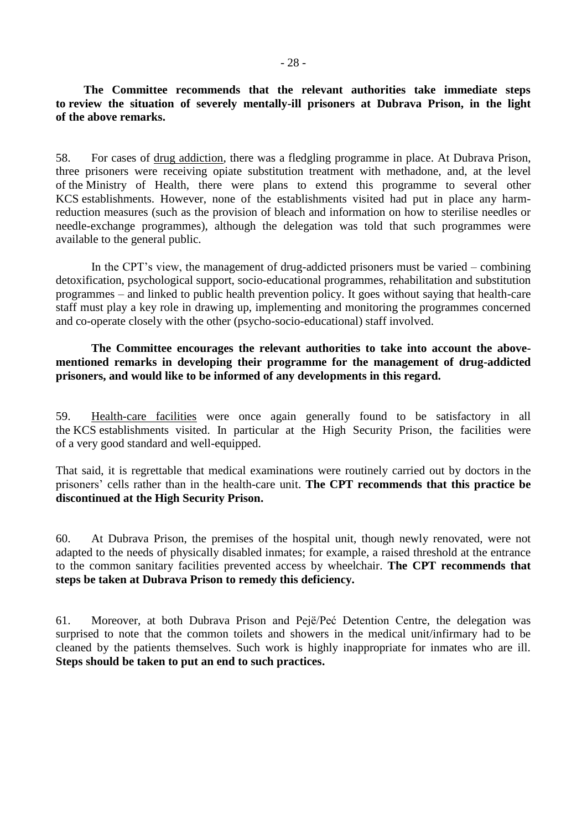**The Committee recommends that the relevant authorities take immediate steps to review the situation of severely mentally-ill prisoners at Dubrava Prison, in the light of the above remarks.**

58. For cases of drug addiction, there was a fledgling programme in place. At Dubrava Prison, three prisoners were receiving opiate substitution treatment with methadone, and, at the level of the Ministry of Health, there were plans to extend this programme to several other KCS establishments. However, none of the establishments visited had put in place any harmreduction measures (such as the provision of bleach and information on how to sterilise needles or needle-exchange programmes), although the delegation was told that such programmes were available to the general public.

In the CPT's view, the management of drug-addicted prisoners must be varied – combining detoxification, psychological support, socio-educational programmes, rehabilitation and substitution programmes – and linked to public health prevention policy. It goes without saying that health-care staff must play a key role in drawing up, implementing and monitoring the programmes concerned and co-operate closely with the other (psycho-socio-educational) staff involved.

**The Committee encourages the relevant authorities to take into account the abovementioned remarks in developing their programme for the management of drug-addicted prisoners, and would like to be informed of any developments in this regard.**

59. Health-care facilities were once again generally found to be satisfactory in all the KCS establishments visited. In particular at the High Security Prison, the facilities were of a very good standard and well-equipped.

That said, it is regrettable that medical examinations were routinely carried out by doctors in the prisoners' cells rather than in the health-care unit. **The CPT recommends that this practice be discontinued at the High Security Prison.**

60. At Dubrava Prison, the premises of the hospital unit, though newly renovated, were not adapted to the needs of physically disabled inmates; for example, a raised threshold at the entrance to the common sanitary facilities prevented access by wheelchair. **The CPT recommends that steps be taken at Dubrava Prison to remedy this deficiency.**

61. Moreover, at both Dubrava Prison and Pejë/Peć Detention Centre, the delegation was surprised to note that the common toilets and showers in the medical unit/infirmary had to be cleaned by the patients themselves. Such work is highly inappropriate for inmates who are ill. **Steps should be taken to put an end to such practices.**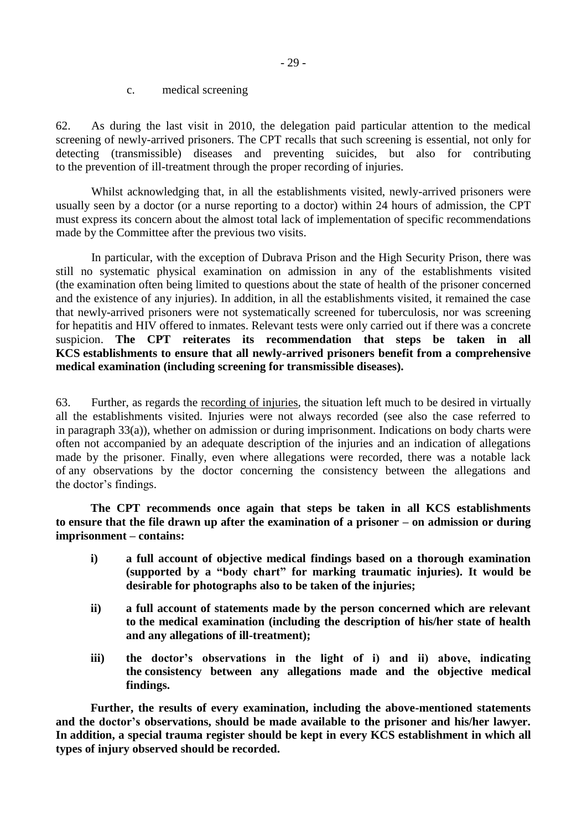c. medical screening

<span id="page-28-0"></span>62. As during the last visit in 2010, the delegation paid particular attention to the medical screening of newly-arrived prisoners. The CPT recalls that such screening is essential, not only for detecting (transmissible) diseases and preventing suicides, but also for contributing to the prevention of ill-treatment through the proper recording of injuries.

Whilst acknowledging that, in all the establishments visited, newly-arrived prisoners were usually seen by a doctor (or a nurse reporting to a doctor) within 24 hours of admission, the CPT must express its concern about the almost total lack of implementation of specific recommendations made by the Committee after the previous two visits.

In particular, with the exception of Dubrava Prison and the High Security Prison, there was still no systematic physical examination on admission in any of the establishments visited (the examination often being limited to questions about the state of health of the prisoner concerned and the existence of any injuries). In addition, in all the establishments visited, it remained the case that newly-arrived prisoners were not systematically screened for tuberculosis, nor was screening for hepatitis and HIV offered to inmates. Relevant tests were only carried out if there was a concrete suspicion. **The CPT reiterates its recommendation that steps be taken in all KCS establishments to ensure that all newly-arrived prisoners benefit from a comprehensive medical examination (including screening for transmissible diseases).** 

63. Further, as regards the recording of injuries, the situation left much to be desired in virtually all the establishments visited. Injuries were not always recorded (see also the case referred to in paragraph 33(a)), whether on admission or during imprisonment. Indications on body charts were often not accompanied by an adequate description of the injuries and an indication of allegations made by the prisoner. Finally, even where allegations were recorded, there was a notable lack of any observations by the doctor concerning the consistency between the allegations and the doctor's findings.

**The CPT recommends once again that steps be taken in all KCS establishments to ensure that the file drawn up after the examination of a prisoner – on admission or during imprisonment – contains:**

- **i) a full account of objective medical findings based on a thorough examination (supported by a "body chart" for marking traumatic injuries). It would be desirable for photographs also to be taken of the injuries;**
- **ii) a full account of statements made by the person concerned which are relevant to the medical examination (including the description of his/her state of health and any allegations of ill-treatment);**
- **iii) the doctor's observations in the light of i) and ii) above, indicating the consistency between any allegations made and the objective medical findings.**

**Further, the results of every examination, including the above-mentioned statements and the doctor's observations, should be made available to the prisoner and his/her lawyer. In addition, a special trauma register should be kept in every KCS establishment in which all types of injury observed should be recorded.**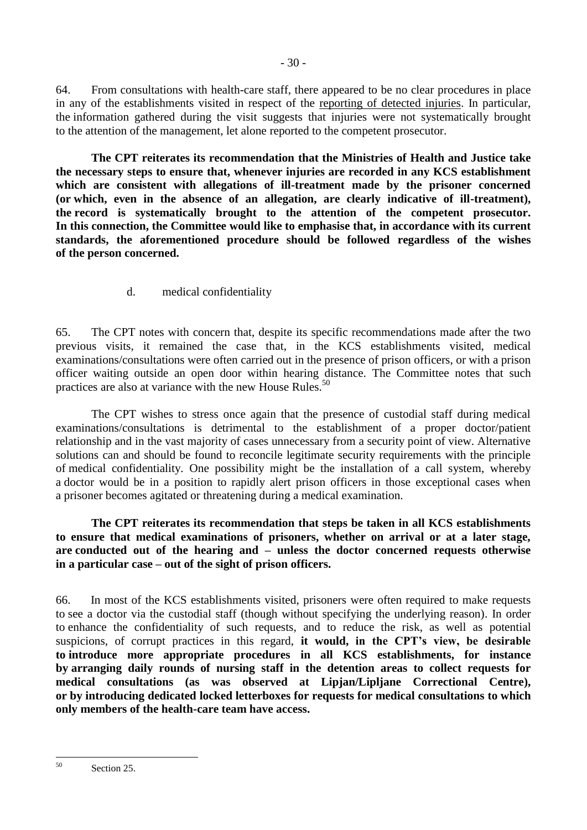64. From consultations with health-care staff, there appeared to be no clear procedures in place in any of the establishments visited in respect of the reporting of detected injuries. In particular, the information gathered during the visit suggests that injuries were not systematically brought to the attention of the management, let alone reported to the competent prosecutor.

**The CPT reiterates its recommendation that the Ministries of Health and Justice take the necessary steps to ensure that, whenever injuries are recorded in any KCS establishment which are consistent with allegations of ill-treatment made by the prisoner concerned (or which, even in the absence of an allegation, are clearly indicative of ill-treatment), the record is systematically brought to the attention of the competent prosecutor. In this connection, the Committee would like to emphasise that, in accordance with its current standards, the aforementioned procedure should be followed regardless of the wishes of the person concerned.** 

d. medical confidentiality

<span id="page-29-0"></span>65. The CPT notes with concern that, despite its specific recommendations made after the two previous visits, it remained the case that, in the KCS establishments visited, medical examinations/consultations were often carried out in the presence of prison officers, or with a prison officer waiting outside an open door within hearing distance. The Committee notes that such practices are also at variance with the new House Rules.<sup>50</sup>

The CPT wishes to stress once again that the presence of custodial staff during medical examinations/consultations is detrimental to the establishment of a proper doctor/patient relationship and in the vast majority of cases unnecessary from a security point of view. Alternative solutions can and should be found to reconcile legitimate security requirements with the principle of medical confidentiality. One possibility might be the installation of a call system, whereby a doctor would be in a position to rapidly alert prison officers in those exceptional cases when a prisoner becomes agitated or threatening during a medical examination.

**The CPT reiterates its recommendation that steps be taken in all KCS establishments to ensure that medical examinations of prisoners, whether on arrival or at a later stage, are conducted out of the hearing and – unless the doctor concerned requests otherwise in a particular case – out of the sight of prison officers.**

66. In most of the KCS establishments visited, prisoners were often required to make requests to see a doctor via the custodial staff (though without specifying the underlying reason). In order to enhance the confidentiality of such requests, and to reduce the risk, as well as potential suspicions, of corrupt practices in this regard, **it would, in the CPT's view, be desirable to introduce more appropriate procedures in all KCS establishments, for instance by arranging daily rounds of nursing staff in the detention areas to collect requests for medical consultations (as was observed at Lipjan/Lipljane Correctional Centre), or by introducing dedicated locked letterboxes for requests for medical consultations to which only members of the health-care team have access.**

 $50$ Section 25.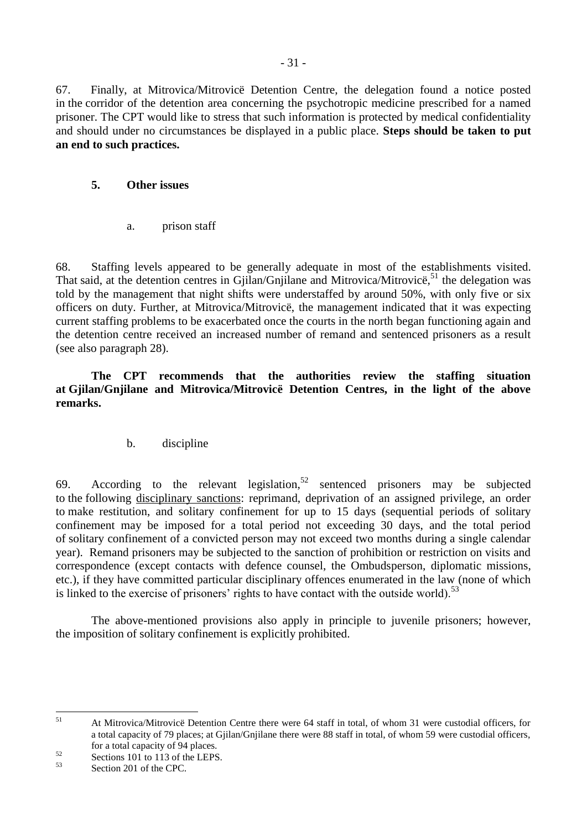67. Finally, at Mitrovica/Mitrovicë Detention Centre, the delegation found a notice posted in the corridor of the detention area concerning the psychotropic medicine prescribed for a named prisoner. The CPT would like to stress that such information is protected by medical confidentiality and should under no circumstances be displayed in a public place. **Steps should be taken to put an end to such practices.**

# <span id="page-30-0"></span>**5. Other issues**

a. prison staff

<span id="page-30-1"></span>68. Staffing levels appeared to be generally adequate in most of the establishments visited. That said, at the detention centres in Gjilan/Gnjilane and Mitrovica/Mitrovice,<sup>51</sup> the delegation was told by the management that night shifts were understaffed by around 50%, with only five or six officers on duty. Further, at Mitrovica/Mitrovicë, the management indicated that it was expecting current staffing problems to be exacerbated once the courts in the north began functioning again and the detention centre received an increased number of remand and sentenced prisoners as a result (see also paragraph 28).

**The CPT recommends that the authorities review the staffing situation at Gjilan/Gnjilane and Mitrovica/Mitrovicë Detention Centres, in the light of the above remarks.**

# b. discipline

<span id="page-30-2"></span>69. According to the relevant legislation,<sup>52</sup> sentenced prisoners may be subjected to the following disciplinary sanctions: reprimand, deprivation of an assigned privilege, an order to make restitution, and solitary confinement for up to 15 days (sequential periods of solitary confinement may be imposed for a total period not exceeding 30 days, and the total period of solitary confinement of a convicted person may not exceed two months during a single calendar year). Remand prisoners may be subjected to the sanction of prohibition or restriction on visits and correspondence (except contacts with defence counsel, the Ombudsperson, diplomatic missions, etc.), if they have committed particular disciplinary offences enumerated in the law (none of which is linked to the exercise of prisoners' rights to have contact with the outside world).<sup>53</sup>

The above-mentioned provisions also apply in principle to juvenile prisoners; however, the imposition of solitary confinement is explicitly prohibited.

<sup>51</sup> <sup>51</sup> At Mitrovica/Mitrovicë Detention Centre there were 64 staff in total, of whom 31 were custodial officers, for a total capacity of 79 places; at Gjilan/Gnjilane there were 88 staff in total, of whom 59 were custodial officers, for a total capacity of 94 places.

 $\frac{52}{53}$  Sections 101 to 113 of the LEPS.

Section 201 of the CPC.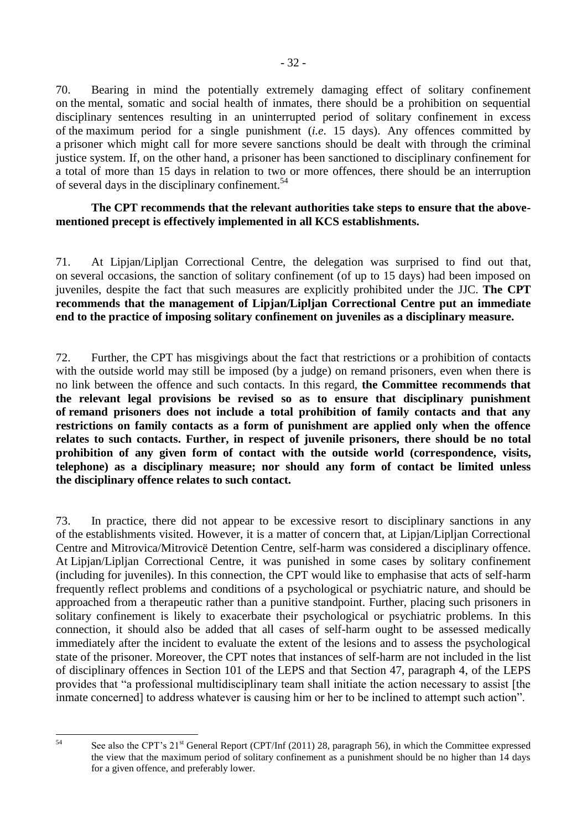70. Bearing in mind the potentially extremely damaging effect of solitary confinement on the mental, somatic and social health of inmates, there should be a prohibition on sequential disciplinary sentences resulting in an uninterrupted period of solitary confinement in excess of the maximum period for a single punishment (*i.e*. 15 days). Any offences committed by a prisoner which might call for more severe sanctions should be dealt with through the criminal justice system. If, on the other hand, a prisoner has been sanctioned to disciplinary confinement for a total of more than 15 days in relation to two or more offences, there should be an interruption of several days in the disciplinary confinement.<sup>54</sup>

#### **The CPT recommends that the relevant authorities take steps to ensure that the abovementioned precept is effectively implemented in all KCS establishments.**

71. At Lipjan/Lipljan Correctional Centre, the delegation was surprised to find out that, on several occasions, the sanction of solitary confinement (of up to 15 days) had been imposed on juveniles, despite the fact that such measures are explicitly prohibited under the JJC. **The CPT recommends that the management of Lipjan/Lipljan Correctional Centre put an immediate end to the practice of imposing solitary confinement on juveniles as a disciplinary measure.**

72. Further, the CPT has misgivings about the fact that restrictions or a prohibition of contacts with the outside world may still be imposed (by a judge) on remand prisoners, even when there is no link between the offence and such contacts. In this regard, **the Committee recommends that the relevant legal provisions be revised so as to ensure that disciplinary punishment of remand prisoners does not include a total prohibition of family contacts and that any restrictions on family contacts as a form of punishment are applied only when the offence relates to such contacts. Further, in respect of juvenile prisoners, there should be no total prohibition of any given form of contact with the outside world (correspondence, visits, telephone) as a disciplinary measure; nor should any form of contact be limited unless the disciplinary offence relates to such contact.**

73. In practice, there did not appear to be excessive resort to disciplinary sanctions in any of the establishments visited. However, it is a matter of concern that, at Lipjan/Lipljan Correctional Centre and Mitrovica/Mitrovicë Detention Centre, self-harm was considered a disciplinary offence. At Lipjan/Lipljan Correctional Centre, it was punished in some cases by solitary confinement (including for juveniles). In this connection, the CPT would like to emphasise that acts of self-harm frequently reflect problems and conditions of a psychological or psychiatric nature, and should be approached from a therapeutic rather than a punitive standpoint. Further, placing such prisoners in solitary confinement is likely to exacerbate their psychological or psychiatric problems. In this connection, it should also be added that all cases of self-harm ought to be assessed medically immediately after the incident to evaluate the extent of the lesions and to assess the psychological state of the prisoner. Moreover, the CPT notes that instances of self-harm are not included in the list of disciplinary offences in Section 101 of the LEPS and that Section 47, paragraph 4, of the LEPS provides that "a professional multidisciplinary team shall initiate the action necessary to assist [the inmate concerned] to address whatever is causing him or her to be inclined to attempt such action".

 $\frac{1}{54}$ 

See also the CPT's 21<sup>st</sup> General Report (CPT/Inf (2011) 28, paragraph 56), in which the Committee expressed the view that the maximum period of solitary confinement as a punishment should be no higher than 14 days for a given offence, and preferably lower.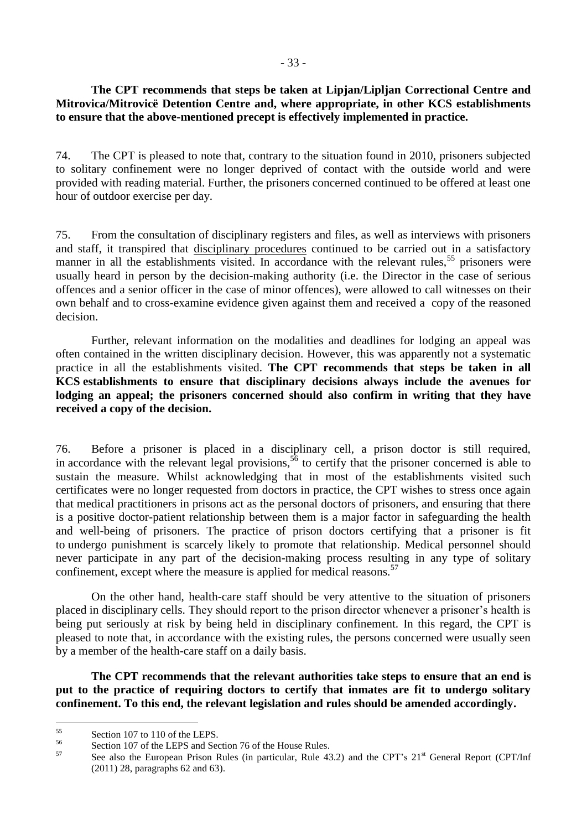### **The CPT recommends that steps be taken at Lipjan/Lipljan Correctional Centre and Mitrovica/Mitrovicë Detention Centre and, where appropriate, in other KCS establishments to ensure that the above-mentioned precept is effectively implemented in practice.**

74. The CPT is pleased to note that, contrary to the situation found in 2010, prisoners subjected to solitary confinement were no longer deprived of contact with the outside world and were provided with reading material. Further, the prisoners concerned continued to be offered at least one hour of outdoor exercise per day.

75. From the consultation of disciplinary registers and files, as well as interviews with prisoners and staff, it transpired that disciplinary procedures continued to be carried out in a satisfactory manner in all the establishments visited. In accordance with the relevant rules,<sup>55</sup> prisoners were usually heard in person by the decision-making authority (i.e. the Director in the case of serious offences and a senior officer in the case of minor offences), were allowed to call witnesses on their own behalf and to cross-examine evidence given against them and received a copy of the reasoned decision.

Further, relevant information on the modalities and deadlines for lodging an appeal was often contained in the written disciplinary decision. However, this was apparently not a systematic practice in all the establishments visited. **The CPT recommends that steps be taken in all KCS establishments to ensure that disciplinary decisions always include the avenues for lodging an appeal; the prisoners concerned should also confirm in writing that they have received a copy of the decision.**

76. Before a prisoner is placed in a disciplinary cell, a prison doctor is still required, in accordance with the relevant legal provisions,  $56$  to certify that the prisoner concerned is able to sustain the measure. Whilst acknowledging that in most of the establishments visited such certificates were no longer requested from doctors in practice, the CPT wishes to stress once again that medical practitioners in prisons act as the personal doctors of prisoners, and ensuring that there is a positive doctor-patient relationship between them is a major factor in safeguarding the health and well-being of prisoners. The practice of prison doctors certifying that a prisoner is fit to undergo punishment is scarcely likely to promote that relationship. Medical personnel should never participate in any part of the decision-making process resulting in any type of solitary confinement, except where the measure is applied for medical reasons.<sup>57</sup>

On the other hand, health-care staff should be very attentive to the situation of prisoners placed in disciplinary cells. They should report to the prison director whenever a prisoner's health is being put seriously at risk by being held in disciplinary confinement. In this regard, the CPT is pleased to note that, in accordance with the existing rules, the persons concerned were usually seen by a member of the health-care staff on a daily basis.

**The CPT recommends that the relevant authorities take steps to ensure that an end is put to the practice of requiring doctors to certify that inmates are fit to undergo solitary confinement. To this end, the relevant legislation and rules should be amended accordingly.**

 $55$  $^{55}$  Section 107 to 110 of the LEPS.

 $^{56}$  Section 107 of the LEPS and Section 76 of the House Rules.

See also the European Prison Rules (in particular, Rule 43.2) and the CPT's 21<sup>st</sup> General Report (CPT/Inf (2011) 28, paragraphs 62 and 63).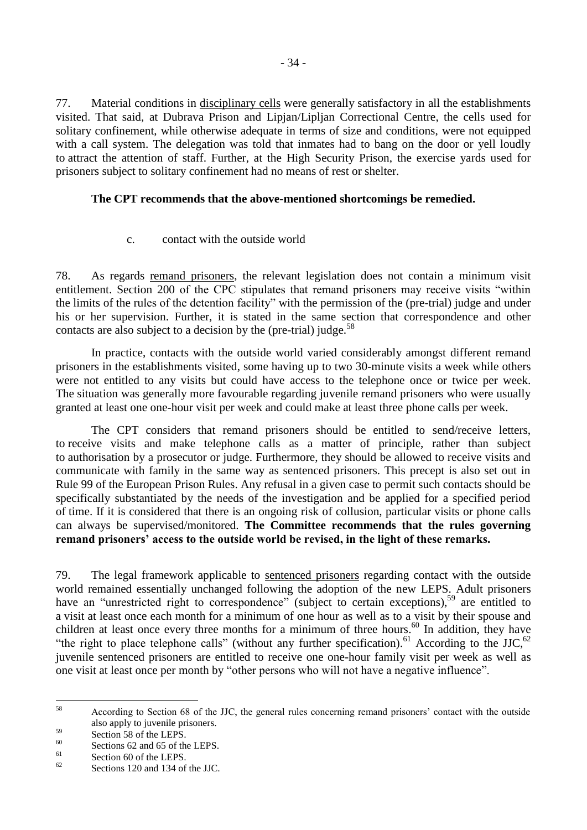77. Material conditions in disciplinary cells were generally satisfactory in all the establishments visited. That said, at Dubrava Prison and Lipjan/Lipljan Correctional Centre, the cells used for solitary confinement, while otherwise adequate in terms of size and conditions, were not equipped with a call system. The delegation was told that inmates had to bang on the door or yell loudly to attract the attention of staff. Further, at the High Security Prison, the exercise yards used for prisoners subject to solitary confinement had no means of rest or shelter.

### **The CPT recommends that the above-mentioned shortcomings be remedied.**

c. contact with the outside world

<span id="page-33-0"></span>78. As regards remand prisoners, the relevant legislation does not contain a minimum visit entitlement. Section 200 of the CPC stipulates that remand prisoners may receive visits "within the limits of the rules of the detention facility" with the permission of the (pre-trial) judge and under his or her supervision. Further, it is stated in the same section that correspondence and other contacts are also subject to a decision by the (pre-trial) judge.<sup>58</sup>

In practice, contacts with the outside world varied considerably amongst different remand prisoners in the establishments visited, some having up to two 30-minute visits a week while others were not entitled to any visits but could have access to the telephone once or twice per week. The situation was generally more favourable regarding juvenile remand prisoners who were usually granted at least one one-hour visit per week and could make at least three phone calls per week.

The CPT considers that remand prisoners should be entitled to send/receive letters, to receive visits and make telephone calls as a matter of principle, rather than subject to authorisation by a prosecutor or judge. Furthermore, they should be allowed to receive visits and communicate with family in the same way as sentenced prisoners. This precept is also set out in Rule 99 of the European Prison Rules. Any refusal in a given case to permit such contacts should be specifically substantiated by the needs of the investigation and be applied for a specified period of time. If it is considered that there is an ongoing risk of collusion, particular visits or phone calls can always be supervised/monitored. **The Committee recommends that the rules governing remand prisoners' access to the outside world be revised, in the light of these remarks.** 

79. The legal framework applicable to sentenced prisoners regarding contact with the outside world remained essentially unchanged following the adoption of the new LEPS. Adult prisoners have an "unrestricted right to correspondence" (subject to certain exceptions),<sup>59</sup> are entitled to a visit at least once each month for a minimum of one hour as well as to a visit by their spouse and children at least once every three months for a minimum of three hours.<sup>60</sup> In addition, they have "the right to place telephone calls" (without any further specification).<sup>61</sup> According to the JJC,<sup>62</sup> juvenile sentenced prisoners are entitled to receive one one-hour family visit per week as well as one visit at least once per month by "other persons who will not have a negative influence".

<sup>58</sup> <sup>58</sup> According to Section 68 of the JJC, the general rules concerning remand prisoners' contact with the outside also apply to juvenile prisoners.

 $\frac{59}{20}$  Section 58 of the LEPS.

 $^{60}$  Sections 62 and 65 of the LEPS.

 $\frac{61}{62}$  Section 60 of the LEPS.

Sections 120 and 134 of the JJC.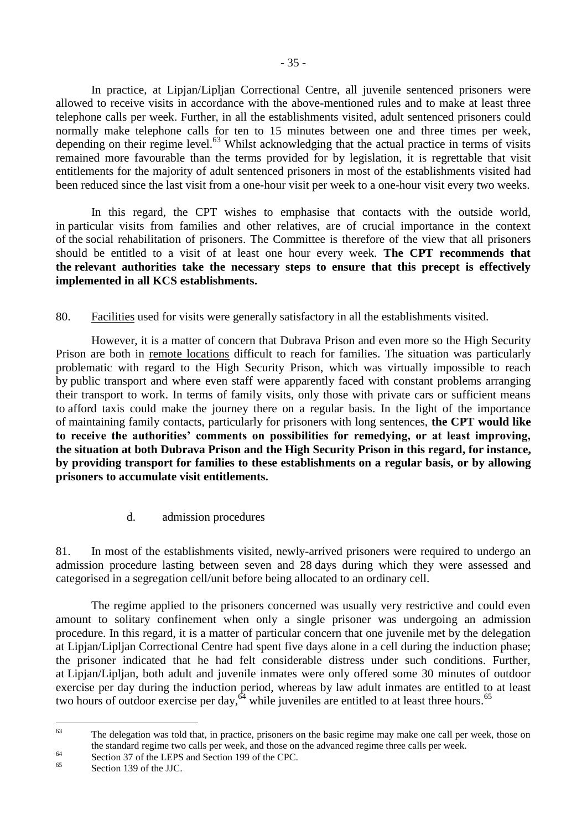In practice, at Lipjan/Lipljan Correctional Centre, all juvenile sentenced prisoners were allowed to receive visits in accordance with the above-mentioned rules and to make at least three telephone calls per week. Further, in all the establishments visited, adult sentenced prisoners could normally make telephone calls for ten to 15 minutes between one and three times per week, depending on their regime level. $^{63}$  Whilst acknowledging that the actual practice in terms of visits remained more favourable than the terms provided for by legislation, it is regrettable that visit entitlements for the majority of adult sentenced prisoners in most of the establishments visited had been reduced since the last visit from a one-hour visit per week to a one-hour visit every two weeks.

In this regard, the CPT wishes to emphasise that contacts with the outside world, in particular visits from families and other relatives, are of crucial importance in the context of the social rehabilitation of prisoners. The Committee is therefore of the view that all prisoners should be entitled to a visit of at least one hour every week. **The CPT recommends that the relevant authorities take the necessary steps to ensure that this precept is effectively implemented in all KCS establishments.**

80. Facilities used for visits were generally satisfactory in all the establishments visited.

However, it is a matter of concern that Dubrava Prison and even more so the High Security Prison are both in remote locations difficult to reach for families. The situation was particularly problematic with regard to the High Security Prison, which was virtually impossible to reach by public transport and where even staff were apparently faced with constant problems arranging their transport to work. In terms of family visits, only those with private cars or sufficient means to afford taxis could make the journey there on a regular basis. In the light of the importance of maintaining family contacts, particularly for prisoners with long sentences, **the CPT would like to receive the authorities' comments on possibilities for remedying, or at least improving, the situation at both Dubrava Prison and the High Security Prison in this regard, for instance, by providing transport for families to these establishments on a regular basis, or by allowing prisoners to accumulate visit entitlements.**

d. admission procedures

<span id="page-34-0"></span>81. In most of the establishments visited, newly-arrived prisoners were required to undergo an admission procedure lasting between seven and 28 days during which they were assessed and categorised in a segregation cell/unit before being allocated to an ordinary cell.

The regime applied to the prisoners concerned was usually very restrictive and could even amount to solitary confinement when only a single prisoner was undergoing an admission procedure. In this regard, it is a matter of particular concern that one juvenile met by the delegation at Lipjan/Lipljan Correctional Centre had spent five days alone in a cell during the induction phase; the prisoner indicated that he had felt considerable distress under such conditions. Further, at Lipjan/Lipljan, both adult and juvenile inmates were only offered some 30 minutes of outdoor exercise per day during the induction period, whereas by law adult inmates are entitled to at least two hours of outdoor exercise per day,  $64$  while juveniles are entitled to at least three hours.<sup>65</sup>

 $63$ The delegation was told that, in practice, prisoners on the basic regime may make one call per week, those on the standard regime two calls per week, and those on the advanced regime three calls per week.

<sup>&</sup>lt;sup>64</sup><br>Section 37 of the LEPS and Section 199 of the CPC.

Section 139 of the JJC.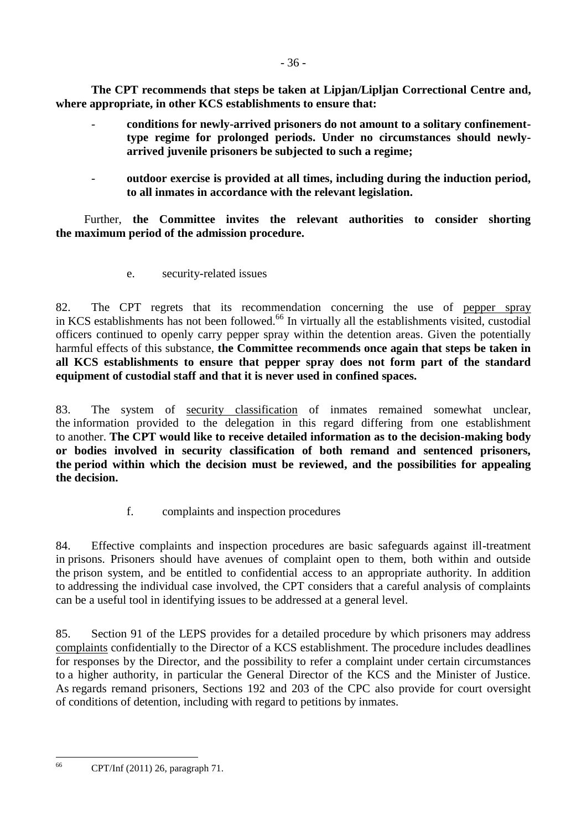**The CPT recommends that steps be taken at Lipjan/Lipljan Correctional Centre and, where appropriate, in other KCS establishments to ensure that:**

- **conditions for newly-arrived prisoners do not amount to a solitary confinementtype regime for prolonged periods. Under no circumstances should newlyarrived juvenile prisoners be subjected to such a regime;**
- **outdoor exercise is provided at all times, including during the induction period, to all inmates in accordance with the relevant legislation.**

Further, **the Committee invites the relevant authorities to consider shorting the maximum period of the admission procedure.**

e. security-related issues

<span id="page-35-0"></span>82. The CPT regrets that its recommendation concerning the use of pepper spray in KCS establishments has not been followed.<sup>66</sup> In virtually all the establishments visited, custodial officers continued to openly carry pepper spray within the detention areas. Given the potentially harmful effects of this substance, **the Committee recommends once again that steps be taken in all KCS establishments to ensure that pepper spray does not form part of the standard equipment of custodial staff and that it is never used in confined spaces.** 

83. The system of security classification of inmates remained somewhat unclear, the information provided to the delegation in this regard differing from one establishment to another. **The CPT would like to receive detailed information as to the decision-making body or bodies involved in security classification of both remand and sentenced prisoners, the period within which the decision must be reviewed, and the possibilities for appealing the decision.**

f. complaints and inspection procedures

<span id="page-35-1"></span>84. Effective complaints and inspection procedures are basic safeguards against ill-treatment in prisons. Prisoners should have avenues of complaint open to them, both within and outside the prison system, and be entitled to confidential access to an appropriate authority. In addition to addressing the individual case involved, the CPT considers that a careful analysis of complaints can be a useful tool in identifying issues to be addressed at a general level.

85. Section 91 of the LEPS provides for a detailed procedure by which prisoners may address complaints confidentially to the Director of a KCS establishment. The procedure includes deadlines for responses by the Director, and the possibility to refer a complaint under certain circumstances to a higher authority, in particular the General Director of the KCS and the Minister of Justice. As regards remand prisoners, Sections 192 and 203 of the CPC also provide for court oversight of conditions of detention, including with regard to petitions by inmates.

<sup>66</sup> <sup>66</sup> CPT/Inf (2011) 26, paragraph 71.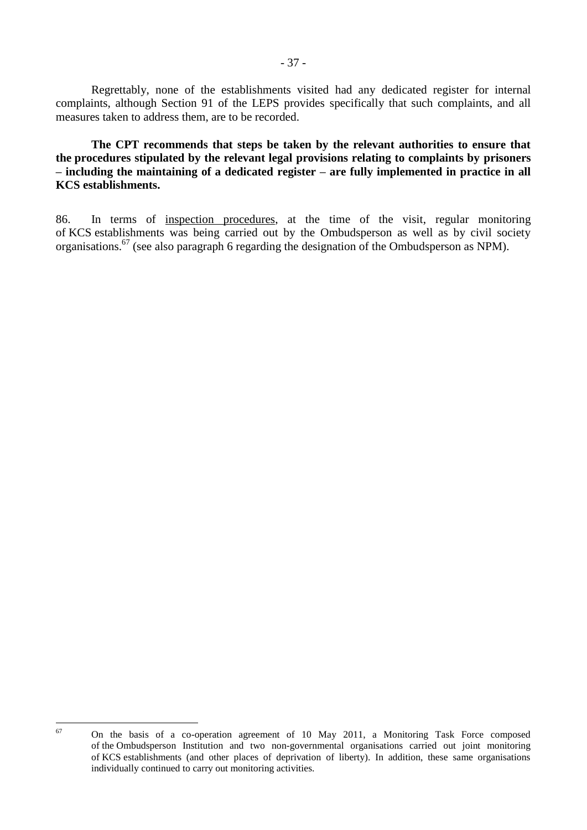Regrettably, none of the establishments visited had any dedicated register for internal complaints, although Section 91 of the LEPS provides specifically that such complaints, and all measures taken to address them, are to be recorded.

**The CPT recommends that steps be taken by the relevant authorities to ensure that the procedures stipulated by the relevant legal provisions relating to complaints by prisoners – including the maintaining of a dedicated register – are fully implemented in practice in all KCS establishments.**

86. In terms of inspection procedures, at the time of the visit, regular monitoring of KCS establishments was being carried out by the Ombudsperson as well as by civil society organisations.<sup>67</sup> (see also paragraph 6 regarding the designation of the Ombudsperson as NPM).

<sup>67</sup> 

<sup>67</sup> On the basis of a co-operation agreement of 10 May 2011, a Monitoring Task Force composed of the Ombudsperson Institution and two non-governmental organisations carried out joint monitoring of KCS establishments (and other places of deprivation of liberty). In addition, these same organisations individually continued to carry out monitoring activities.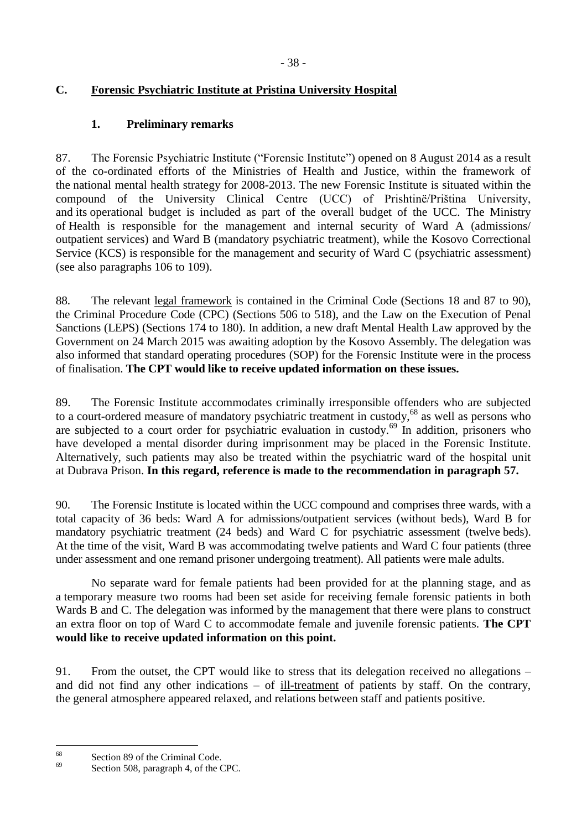# <span id="page-37-1"></span><span id="page-37-0"></span>**C. Forensic Psychiatric Institute at Pristina University Hospital**

# **1. Preliminary remarks**

87. The Forensic Psychiatric Institute ("Forensic Institute") opened on 8 August 2014 as a result of the co-ordinated efforts of the Ministries of Health and Justice, within the framework of the national mental health strategy for 2008-2013. The new Forensic Institute is situated within the compound of the University Clinical Centre (UCC) of Prishtinë/Priština University, and its operational budget is included as part of the overall budget of the UCC. The Ministry of Health is responsible for the management and internal security of Ward A (admissions/ outpatient services) and Ward B (mandatory psychiatric treatment), while the Kosovo Correctional Service (KCS) is responsible for the management and security of Ward C (psychiatric assessment) (see also paragraphs 106 to 109).

88. The relevant legal framework is contained in the Criminal Code (Sections 18 and 87 to 90), the Criminal Procedure Code (CPC) (Sections 506 to 518), and the Law on the Execution of Penal Sanctions (LEPS) (Sections 174 to 180). In addition, a new draft Mental Health Law approved by the Government on 24 March 2015 was awaiting adoption by the Kosovo Assembly. The delegation was also informed that standard operating procedures (SOP) for the Forensic Institute were in the process of finalisation. **The CPT would like to receive updated information on these issues.**

89. The Forensic Institute accommodates criminally irresponsible offenders who are subjected to a court-ordered measure of mandatory psychiatric treatment in custody,<sup>68</sup> as well as persons who are subjected to a court order for psychiatric evaluation in custody.<sup>69</sup> In addition, prisoners who have developed a mental disorder during imprisonment may be placed in the Forensic Institute. Alternatively, such patients may also be treated within the psychiatric ward of the hospital unit at Dubrava Prison. **In this regard, reference is made to the recommendation in paragraph 57.**

90. The Forensic Institute is located within the UCC compound and comprises three wards, with a total capacity of 36 beds: Ward A for admissions/outpatient services (without beds), Ward B for mandatory psychiatric treatment (24 beds) and Ward C for psychiatric assessment (twelve beds). At the time of the visit, Ward B was accommodating twelve patients and Ward C four patients (three under assessment and one remand prisoner undergoing treatment). All patients were male adults.

No separate ward for female patients had been provided for at the planning stage, and as a temporary measure two rooms had been set aside for receiving female forensic patients in both Wards B and C. The delegation was informed by the management that there were plans to construct an extra floor on top of Ward C to accommodate female and juvenile forensic patients. **The CPT would like to receive updated information on this point.**

91. From the outset, the CPT would like to stress that its delegation received no allegations – and did not find any other indications – of ill-treatment of patients by staff. On the contrary, the general atmosphere appeared relaxed, and relations between staff and patients positive.

<sup>68</sup>  $\frac{68}{69}$  Section 89 of the Criminal Code.

Section 508, paragraph 4, of the CPC.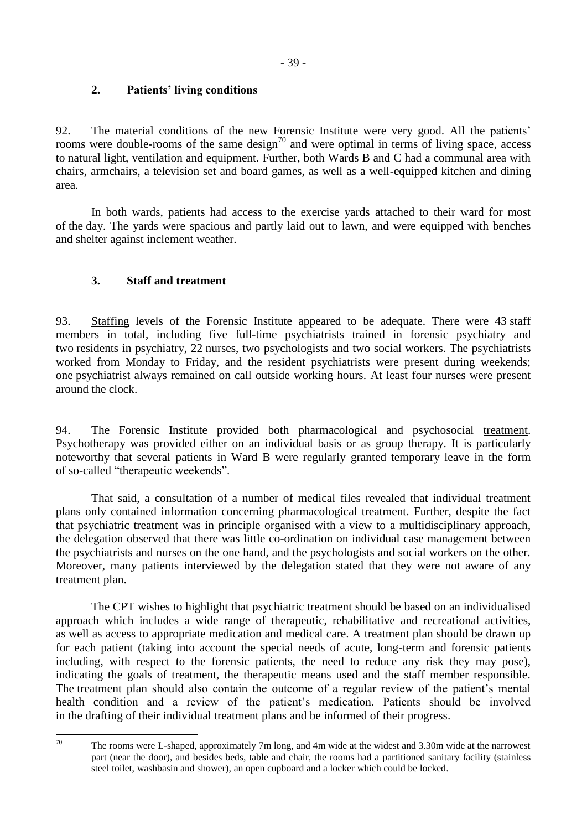# <span id="page-38-0"></span>**2. Patients' living conditions**

92. The material conditions of the new Forensic Institute were very good. All the patients' rooms were double-rooms of the same design<sup>70</sup> and were optimal in terms of living space, access to natural light, ventilation and equipment. Further, both Wards B and C had a communal area with chairs, armchairs, a television set and board games, as well as a well-equipped kitchen and dining area.

In both wards, patients had access to the exercise yards attached to their ward for most of the day. The yards were spacious and partly laid out to lawn, and were equipped with benches and shelter against inclement weather.

# <span id="page-38-1"></span>**3. Staff and treatment**

93. Staffing levels of the Forensic Institute appeared to be adequate. There were 43 staff members in total, including five full-time psychiatrists trained in forensic psychiatry and two residents in psychiatry, 22 nurses, two psychologists and two social workers. The psychiatrists worked from Monday to Friday, and the resident psychiatrists were present during weekends; one psychiatrist always remained on call outside working hours. At least four nurses were present around the clock.

94. The Forensic Institute provided both pharmacological and psychosocial treatment. Psychotherapy was provided either on an individual basis or as group therapy. It is particularly noteworthy that several patients in Ward B were regularly granted temporary leave in the form of so-called "therapeutic weekends".

That said, a consultation of a number of medical files revealed that individual treatment plans only contained information concerning pharmacological treatment. Further, despite the fact that psychiatric treatment was in principle organised with a view to a multidisciplinary approach, the delegation observed that there was little co-ordination on individual case management between the psychiatrists and nurses on the one hand, and the psychologists and social workers on the other. Moreover, many patients interviewed by the delegation stated that they were not aware of any treatment plan.

The CPT wishes to highlight that psychiatric treatment should be based on an individualised approach which includes a wide range of therapeutic, rehabilitative and recreational activities, as well as access to appropriate medication and medical care. A treatment plan should be drawn up for each patient (taking into account the special needs of acute, long-term and forensic patients including, with respect to the forensic patients, the need to reduce any risk they may pose), indicating the goals of treatment, the therapeutic means used and the staff member responsible. The treatment plan should also contain the outcome of a regular review of the patient's mental health condition and a review of the patient's medication. Patients should be involved in the drafting of their individual treatment plans and be informed of their progress.

 $70$ The rooms were L-shaped, approximately 7m long, and 4m wide at the widest and 3.30m wide at the narrowest part (near the door), and besides beds, table and chair, the rooms had a partitioned sanitary facility (stainless steel toilet, washbasin and shower), an open cupboard and a locker which could be locked.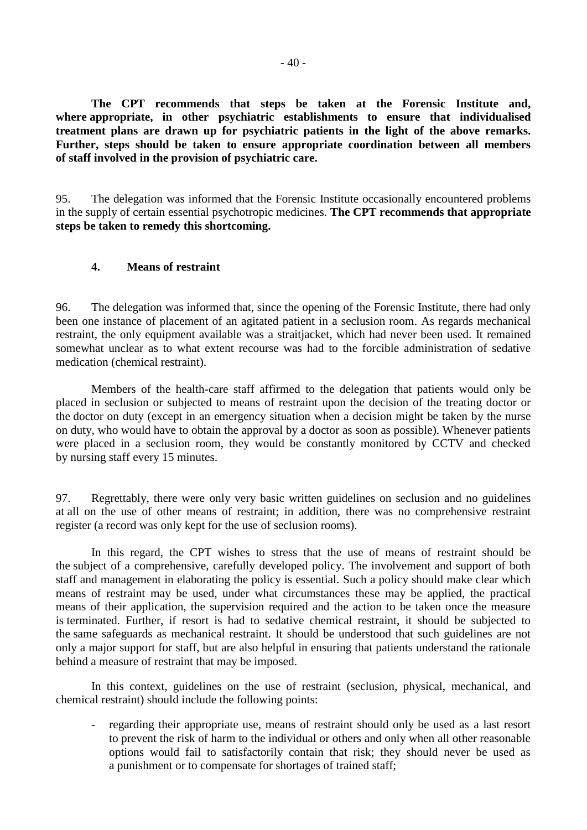**The CPT recommends that steps be taken at the Forensic Institute and, where appropriate, in other psychiatric establishments to ensure that individualised treatment plans are drawn up for psychiatric patients in the light of the above remarks. Further, steps should be taken to ensure appropriate coordination between all members of staff involved in the provision of psychiatric care.**

95. The delegation was informed that the Forensic Institute occasionally encountered problems in the supply of certain essential psychotropic medicines. **The CPT recommends that appropriate steps be taken to remedy this shortcoming.**

#### <span id="page-39-0"></span>**4. Means of restraint**

96. The delegation was informed that, since the opening of the Forensic Institute, there had only been one instance of placement of an agitated patient in a seclusion room. As regards mechanical restraint, the only equipment available was a straitjacket, which had never been used. It remained somewhat unclear as to what extent recourse was had to the forcible administration of sedative medication (chemical restraint).

Members of the health-care staff affirmed to the delegation that patients would only be placed in seclusion or subjected to means of restraint upon the decision of the treating doctor or the doctor on duty (except in an emergency situation when a decision might be taken by the nurse on duty, who would have to obtain the approval by a doctor as soon as possible). Whenever patients were placed in a seclusion room, they would be constantly monitored by CCTV and checked by nursing staff every 15 minutes.

97. Regrettably, there were only very basic written guidelines on seclusion and no guidelines at all on the use of other means of restraint; in addition, there was no comprehensive restraint register (a record was only kept for the use of seclusion rooms).

In this regard, the CPT wishes to stress that the use of means of restraint should be the subject of a comprehensive, carefully developed policy. The involvement and support of both staff and management in elaborating the policy is essential. Such a policy should make clear which means of restraint may be used, under what circumstances these may be applied, the practical means of their application, the supervision required and the action to be taken once the measure is terminated. Further, if resort is had to sedative chemical restraint, it should be subjected to the same safeguards as mechanical restraint. It should be understood that such guidelines are not only a major support for staff, but are also helpful in ensuring that patients understand the rationale behind a measure of restraint that may be imposed.

In this context, guidelines on the use of restraint (seclusion, physical, mechanical, and chemical restraint) should include the following points:

regarding their appropriate use, means of restraint should only be used as a last resort to prevent the risk of harm to the individual or others and only when all other reasonable options would fail to satisfactorily contain that risk; they should never be used as a punishment or to compensate for shortages of trained staff;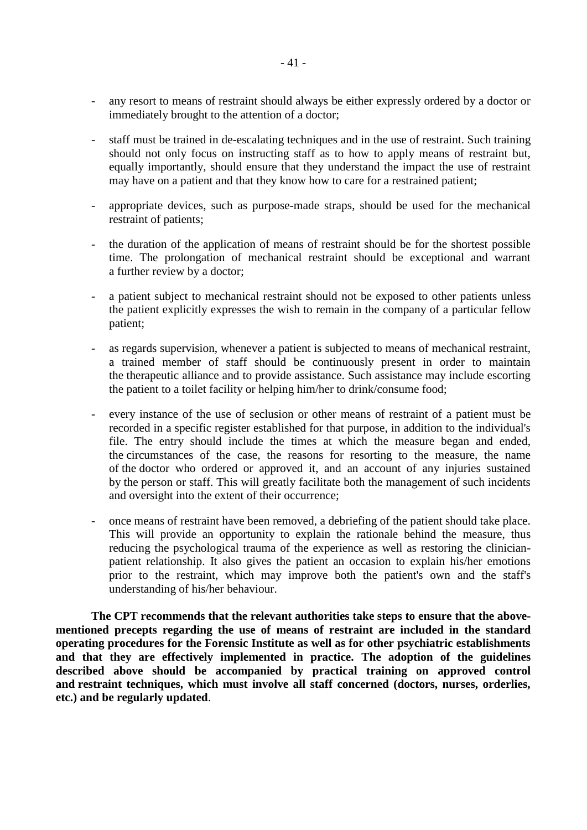- any resort to means of restraint should always be either expressly ordered by a doctor or immediately brought to the attention of a doctor;
- staff must be trained in de-escalating techniques and in the use of restraint. Such training should not only focus on instructing staff as to how to apply means of restraint but, equally importantly, should ensure that they understand the impact the use of restraint may have on a patient and that they know how to care for a restrained patient;
- appropriate devices, such as purpose-made straps, should be used for the mechanical restraint of patients;
- the duration of the application of means of restraint should be for the shortest possible time. The prolongation of mechanical restraint should be exceptional and warrant a further review by a doctor;
- a patient subject to mechanical restraint should not be exposed to other patients unless the patient explicitly expresses the wish to remain in the company of a particular fellow patient;
- as regards supervision, whenever a patient is subjected to means of mechanical restraint, a trained member of staff should be continuously present in order to maintain the therapeutic alliance and to provide assistance. Such assistance may include escorting the patient to a toilet facility or helping him/her to drink/consume food;
- every instance of the use of seclusion or other means of restraint of a patient must be recorded in a specific register established for that purpose, in addition to the individual's file. The entry should include the times at which the measure began and ended, the circumstances of the case, the reasons for resorting to the measure, the name of the doctor who ordered or approved it, and an account of any injuries sustained by the person or staff. This will greatly facilitate both the management of such incidents and oversight into the extent of their occurrence;
- once means of restraint have been removed, a debriefing of the patient should take place. This will provide an opportunity to explain the rationale behind the measure, thus reducing the psychological trauma of the experience as well as restoring the clinicianpatient relationship. It also gives the patient an occasion to explain his/her emotions prior to the restraint, which may improve both the patient's own and the staff's understanding of his/her behaviour.

**The CPT recommends that the relevant authorities take steps to ensure that the abovementioned precepts regarding the use of means of restraint are included in the standard operating procedures for the Forensic Institute as well as for other psychiatric establishments and that they are effectively implemented in practice. The adoption of the guidelines described above should be accompanied by practical training on approved control and restraint techniques, which must involve all staff concerned (doctors, nurses, orderlies, etc.) and be regularly updated**.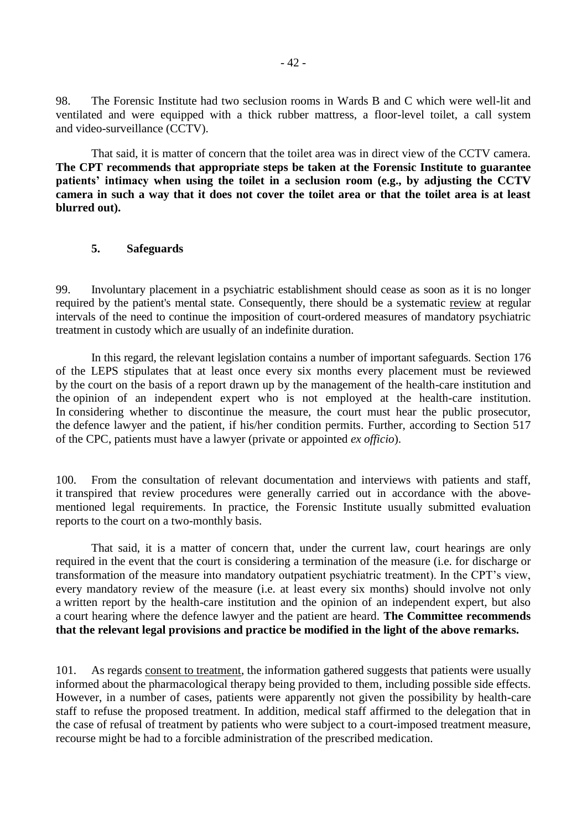98. The Forensic Institute had two seclusion rooms in Wards B and C which were well-lit and ventilated and were equipped with a thick rubber mattress, a floor-level toilet, a call system and video-surveillance (CCTV).

That said, it is matter of concern that the toilet area was in direct view of the CCTV camera. **The CPT recommends that appropriate steps be taken at the Forensic Institute to guarantee patients' intimacy when using the toilet in a seclusion room (e.g., by adjusting the CCTV camera in such a way that it does not cover the toilet area or that the toilet area is at least blurred out).**

#### <span id="page-41-0"></span>**5. Safeguards**

99. Involuntary placement in a psychiatric establishment should cease as soon as it is no longer required by the patient's mental state. Consequently, there should be a systematic review at regular intervals of the need to continue the imposition of court-ordered measures of mandatory psychiatric treatment in custody which are usually of an indefinite duration.

In this regard, the relevant legislation contains a number of important safeguards. Section 176 of the LEPS stipulates that at least once every six months every placement must be reviewed by the court on the basis of a report drawn up by the management of the health-care institution and the opinion of an independent expert who is not employed at the health-care institution. In considering whether to discontinue the measure, the court must hear the public prosecutor, the defence lawyer and the patient, if his/her condition permits. Further, according to Section 517 of the CPC, patients must have a lawyer (private or appointed *ex officio*).

100. From the consultation of relevant documentation and interviews with patients and staff, it transpired that review procedures were generally carried out in accordance with the abovementioned legal requirements. In practice, the Forensic Institute usually submitted evaluation reports to the court on a two-monthly basis.

That said, it is a matter of concern that, under the current law, court hearings are only required in the event that the court is considering a termination of the measure (i.e. for discharge or transformation of the measure into mandatory outpatient psychiatric treatment). In the CPT's view, every mandatory review of the measure (i.e. at least every six months) should involve not only a written report by the health-care institution and the opinion of an independent expert, but also a court hearing where the defence lawyer and the patient are heard. **The Committee recommends that the relevant legal provisions and practice be modified in the light of the above remarks.**

101. As regards consent to treatment, the information gathered suggests that patients were usually informed about the pharmacological therapy being provided to them, including possible side effects. However, in a number of cases, patients were apparently not given the possibility by health-care staff to refuse the proposed treatment. In addition, medical staff affirmed to the delegation that in the case of refusal of treatment by patients who were subject to a court-imposed treatment measure, recourse might be had to a forcible administration of the prescribed medication.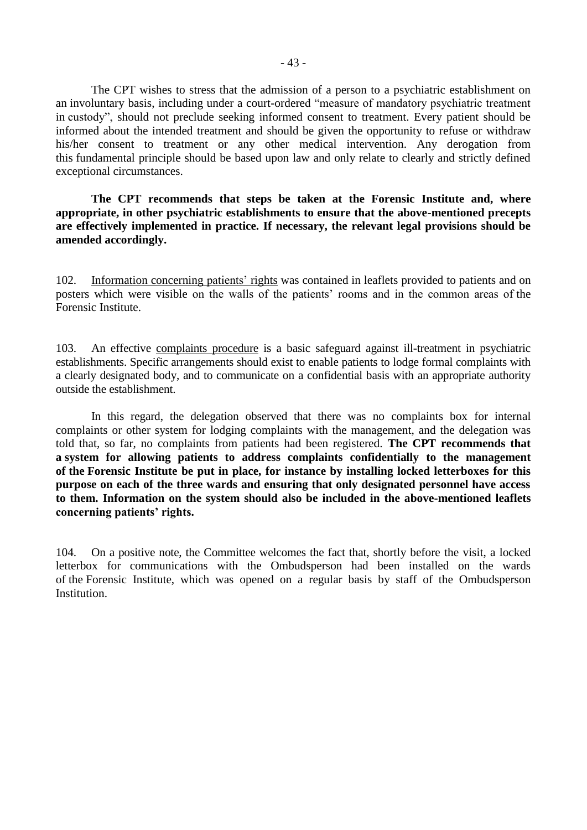The CPT wishes to stress that the admission of a person to a psychiatric establishment on an involuntary basis, including under a court-ordered "measure of mandatory psychiatric treatment in custody", should not preclude seeking informed consent to treatment. Every patient should be informed about the intended treatment and should be given the opportunity to refuse or withdraw his/her consent to treatment or any other medical intervention. Any derogation from this fundamental principle should be based upon law and only relate to clearly and strictly defined exceptional circumstances.

**The CPT recommends that steps be taken at the Forensic Institute and, where appropriate, in other psychiatric establishments to ensure that the above-mentioned precepts are effectively implemented in practice. If necessary, the relevant legal provisions should be amended accordingly.**

102. Information concerning patients' rights was contained in leaflets provided to patients and on posters which were visible on the walls of the patients' rooms and in the common areas of the Forensic Institute.

103. An effective complaints procedure is a basic safeguard against ill-treatment in psychiatric establishments. Specific arrangements should exist to enable patients to lodge formal complaints with a clearly designated body, and to communicate on a confidential basis with an appropriate authority outside the establishment.

In this regard, the delegation observed that there was no complaints box for internal complaints or other system for lodging complaints with the management, and the delegation was told that, so far, no complaints from patients had been registered. **The CPT recommends that a system for allowing patients to address complaints confidentially to the management of the Forensic Institute be put in place, for instance by installing locked letterboxes for this purpose on each of the three wards and ensuring that only designated personnel have access to them. Information on the system should also be included in the above-mentioned leaflets concerning patients' rights.**

104. On a positive note, the Committee welcomes the fact that, shortly before the visit, a locked letterbox for communications with the Ombudsperson had been installed on the wards of the Forensic Institute, which was opened on a regular basis by staff of the Ombudsperson Institution.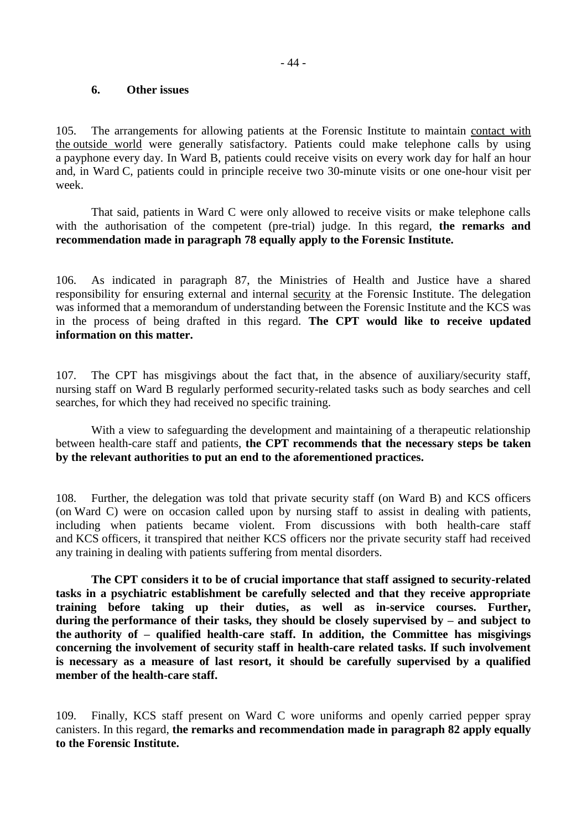#### <span id="page-43-0"></span>**6. Other issues**

105. The arrangements for allowing patients at the Forensic Institute to maintain contact with the outside world were generally satisfactory. Patients could make telephone calls by using a payphone every day. In Ward B, patients could receive visits on every work day for half an hour and, in Ward C, patients could in principle receive two 30-minute visits or one one-hour visit per week.

That said, patients in Ward C were only allowed to receive visits or make telephone calls with the authorisation of the competent (pre-trial) judge. In this regard, **the remarks and recommendation made in paragraph 78 equally apply to the Forensic Institute.**

106. As indicated in paragraph 87, the Ministries of Health and Justice have a shared responsibility for ensuring external and internal security at the Forensic Institute. The delegation was informed that a memorandum of understanding between the Forensic Institute and the KCS was in the process of being drafted in this regard. **The CPT would like to receive updated information on this matter.**

107. The CPT has misgivings about the fact that, in the absence of auxiliary/security staff, nursing staff on Ward B regularly performed security-related tasks such as body searches and cell searches, for which they had received no specific training.

With a view to safeguarding the development and maintaining of a therapeutic relationship between health-care staff and patients, **the CPT recommends that the necessary steps be taken by the relevant authorities to put an end to the aforementioned practices.**

108. Further, the delegation was told that private security staff (on Ward B) and KCS officers (on Ward C) were on occasion called upon by nursing staff to assist in dealing with patients, including when patients became violent. From discussions with both health-care staff and KCS officers, it transpired that neither KCS officers nor the private security staff had received any training in dealing with patients suffering from mental disorders.

**The CPT considers it to be of crucial importance that staff assigned to security-related tasks in a psychiatric establishment be carefully selected and that they receive appropriate training before taking up their duties, as well as in-service courses. Further, during the performance of their tasks, they should be closely supervised by – and subject to the authority of – qualified health-care staff. In addition, the Committee has misgivings concerning the involvement of security staff in health-care related tasks. If such involvement is necessary as a measure of last resort, it should be carefully supervised by a qualified member of the health-care staff.**

109. Finally, KCS staff present on Ward C wore uniforms and openly carried pepper spray canisters. In this regard, **the remarks and recommendation made in paragraph 82 apply equally to the Forensic Institute.**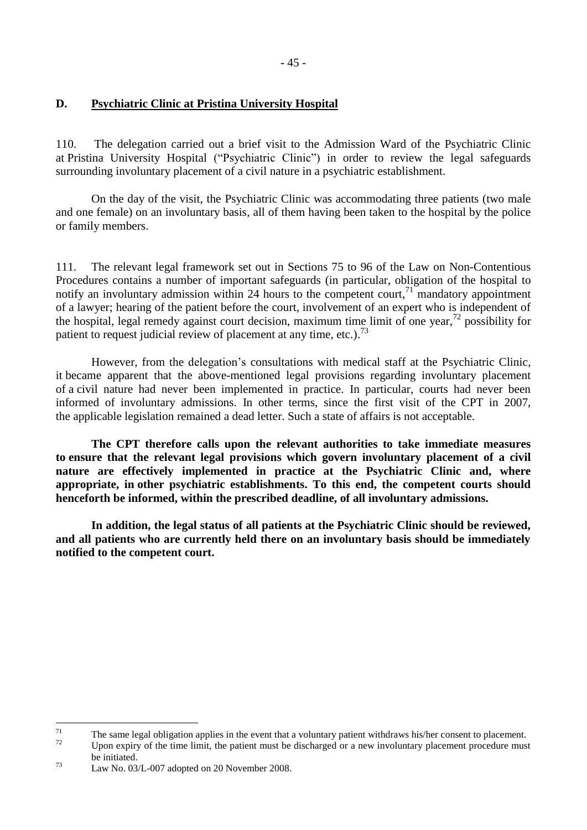# <span id="page-44-0"></span>**D. Psychiatric Clinic at Pristina University Hospital**

110. The delegation carried out a brief visit to the Admission Ward of the Psychiatric Clinic at Pristina University Hospital ("Psychiatric Clinic") in order to review the legal safeguards surrounding involuntary placement of a civil nature in a psychiatric establishment.

On the day of the visit, the Psychiatric Clinic was accommodating three patients (two male and one female) on an involuntary basis, all of them having been taken to the hospital by the police or family members.

111. The relevant legal framework set out in Sections 75 to 96 of the Law on Non-Contentious Procedures contains a number of important safeguards (in particular, obligation of the hospital to notify an involuntary admission within 24 hours to the competent court,<sup>71</sup> mandatory appointment of a lawyer; hearing of the patient before the court, involvement of an expert who is independent of the hospital, legal remedy against court decision, maximum time limit of one year,  $72$  possibility for patient to request judicial review of placement at any time, etc.).<sup>73</sup>

However, from the delegation's consultations with medical staff at the Psychiatric Clinic, it became apparent that the above-mentioned legal provisions regarding involuntary placement of a civil nature had never been implemented in practice. In particular, courts had never been informed of involuntary admissions. In other terms, since the first visit of the CPT in 2007, the applicable legislation remained a dead letter. Such a state of affairs is not acceptable.

**The CPT therefore calls upon the relevant authorities to take immediate measures to ensure that the relevant legal provisions which govern involuntary placement of a civil nature are effectively implemented in practice at the Psychiatric Clinic and, where appropriate, in other psychiatric establishments. To this end, the competent courts should henceforth be informed, within the prescribed deadline, of all involuntary admissions.** 

**In addition, the legal status of all patients at the Psychiatric Clinic should be reviewed, and all patients who are currently held there on an involuntary basis should be immediately notified to the competent court.**

 $71$  $^{71}$  The same legal obligation applies in the event that a voluntary patient withdraws his/her consent to placement.

Upon expiry of the time limit, the patient must be discharged or a new involuntary placement procedure must be initiated.

<sup>73</sup> Law No. 03/L-007 adopted on 20 November 2008.